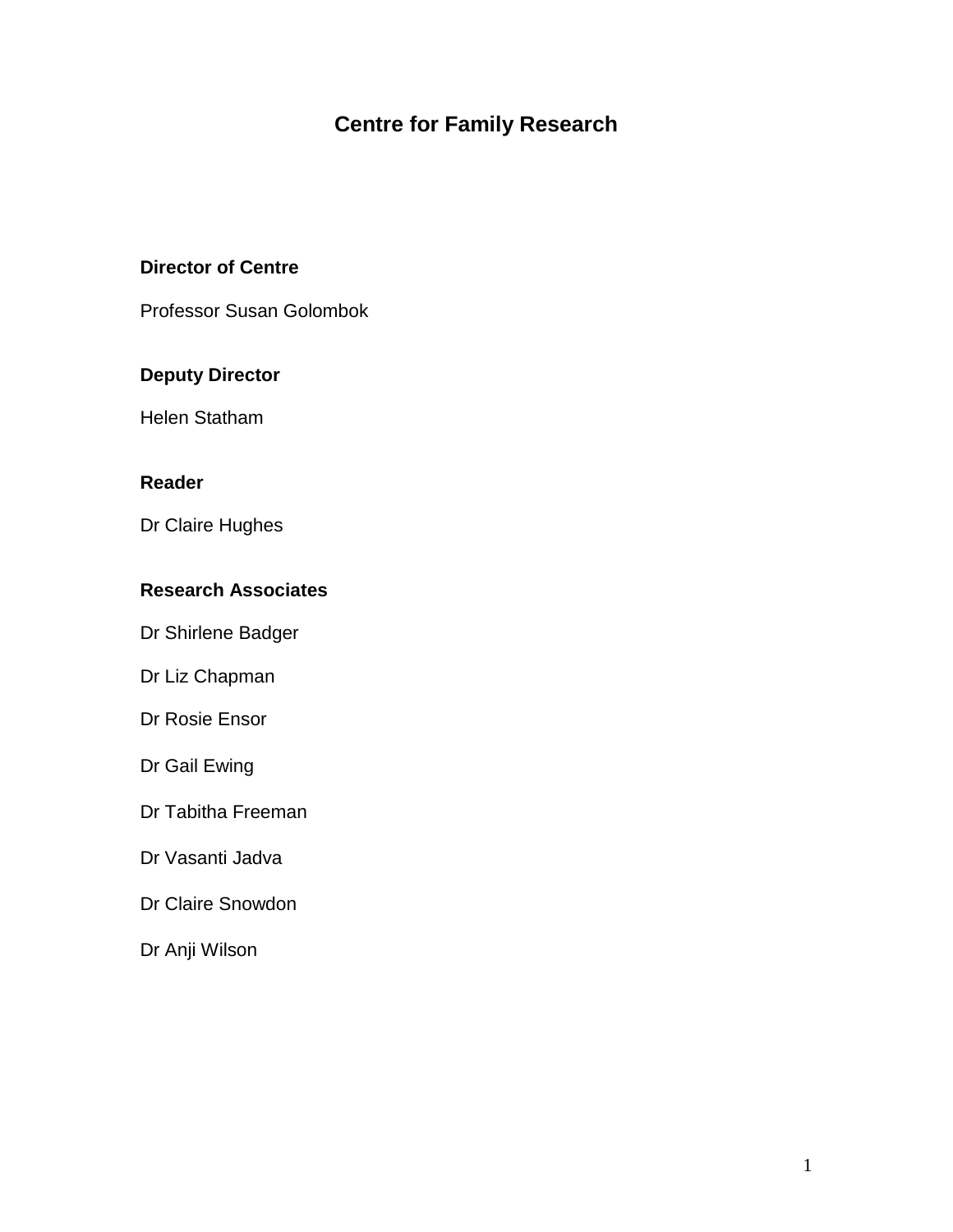# **Centre for Family Research**

### **Director of Centre**

Professor Susan Golombok

### **Deputy Director**

Helen Statham

#### **Reader**

Dr Claire Hughes

### **Research Associates**

Dr Shirlene Badger

Dr Liz Chapman

Dr Rosie Ensor

Dr Gail Ewing

Dr Tabitha Freeman

Dr Vasanti Jadva

Dr Claire Snowdon

Dr Anji Wilson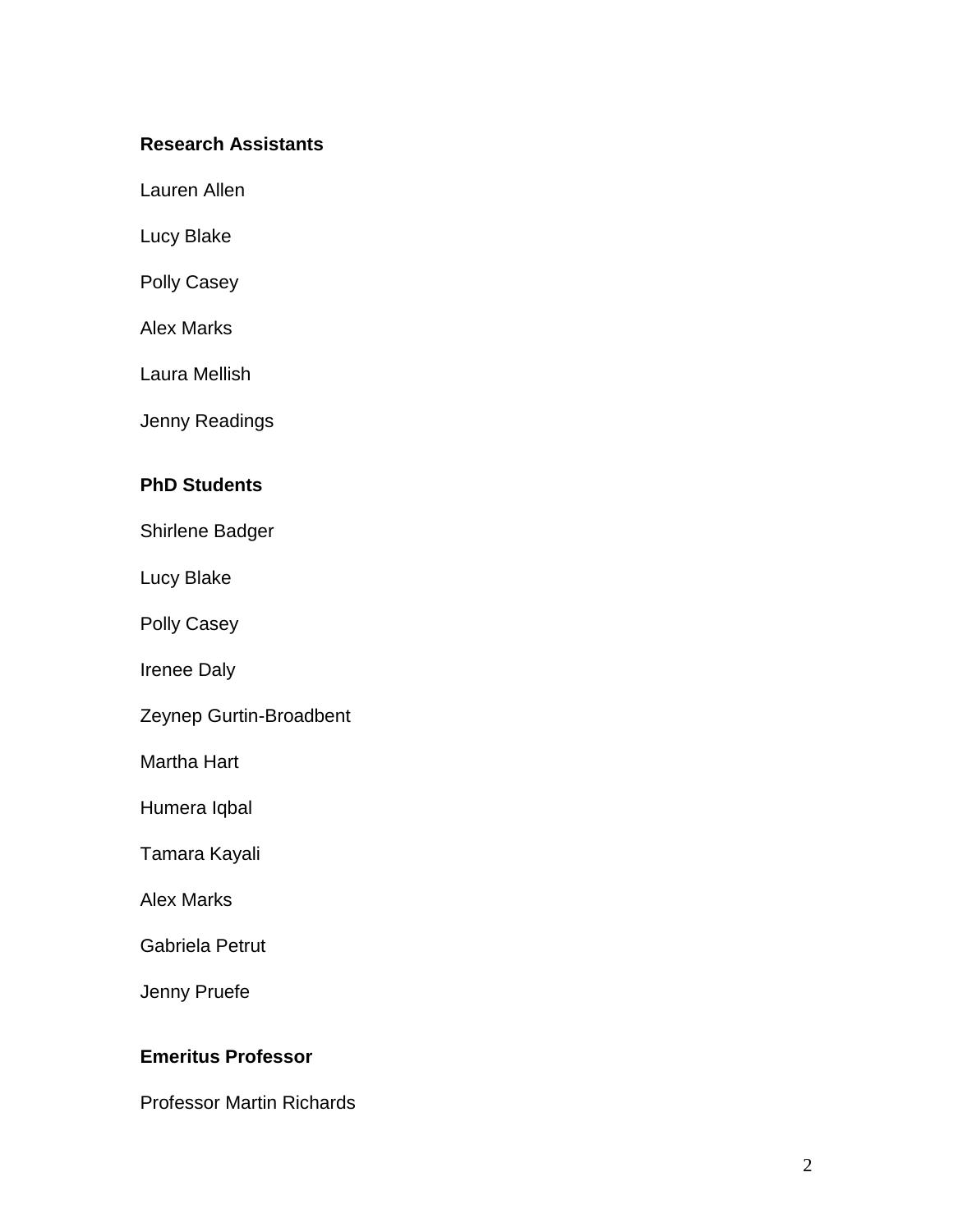### **Research Assistants**

Lauren Allen

Lucy Blake

Polly Casey

Alex Marks

Laura Mellish

Jenny Readings

#### **PhD Students**

Shirlene Badger

Lucy Blake

Polly Casey

Irenee Daly

Zeynep Gurtin -Broadbent

Martha Hart

Humera Iqbal

Tamara Kayali

Alex Marks

Gabriela Petrut

Jenny Pruefe

### **Emeritus Professor**

Professor Martin Richards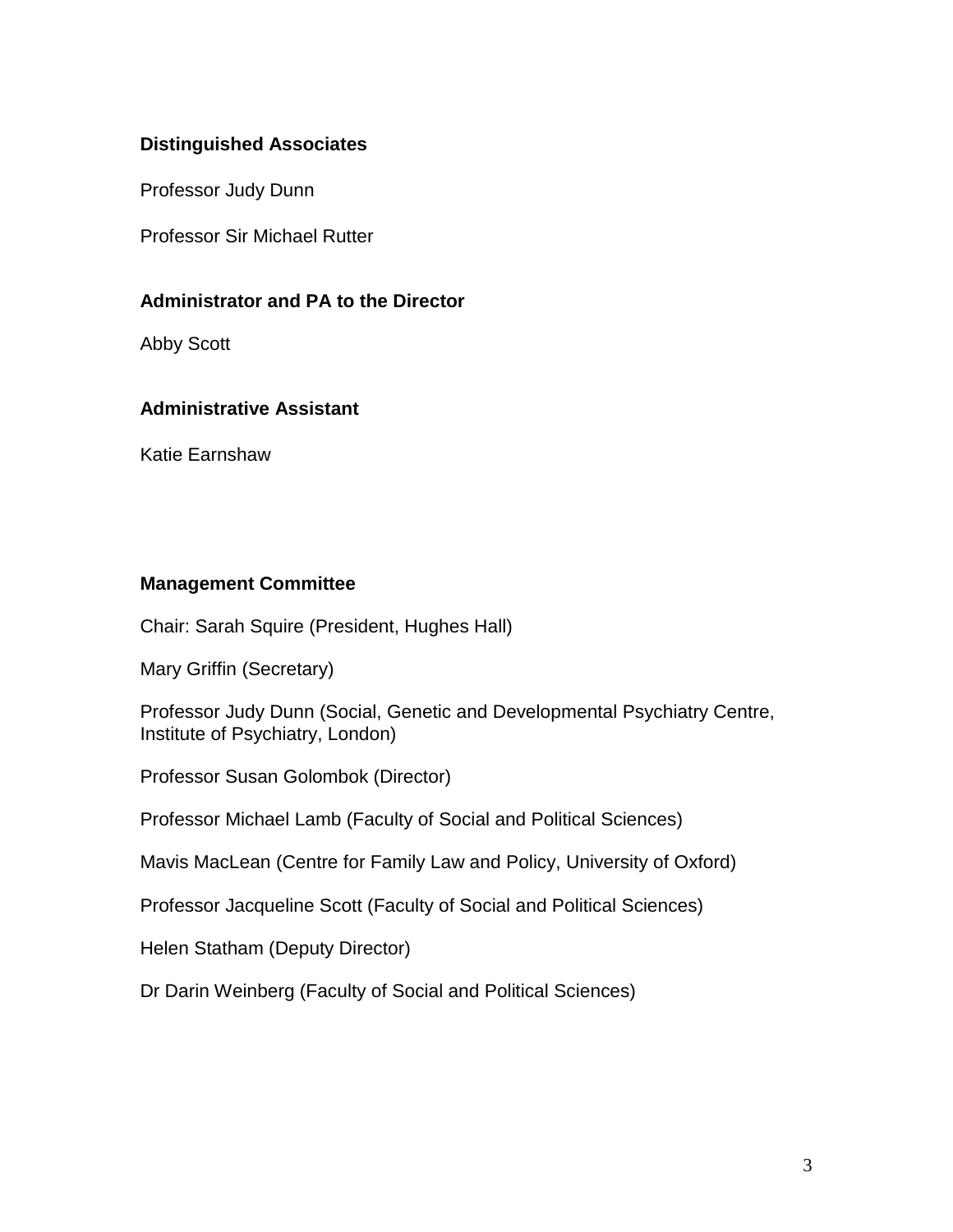### **Distinguished Associates**

Professor Judy Dunn

Professor Sir Michael Rutter

#### **Administrator and PA to the Director**

Abby Scott

#### **Administrative Assistant**

Katie Earnshaw

#### **Management Committee**

Chair: Sarah Squire (President, Hughes Hall)

Mary Griffin (Secretary)

Professor Judy Dunn (Social, Genetic and Developmental Psychiatry Centre, Institute of Psychiatry, London)

Professor Susan Golombok (Director)

Professor Michael Lamb (Faculty of Social and Political Sciences)

Mavis MacLean (Centre for Family Law and Policy, University of Oxford)

Professor Jacqueline Scott (Faculty of Social and Political Sciences)

Helen Statham (Deputy Director)

Dr Darin Weinberg (Faculty of Social and Political Sciences)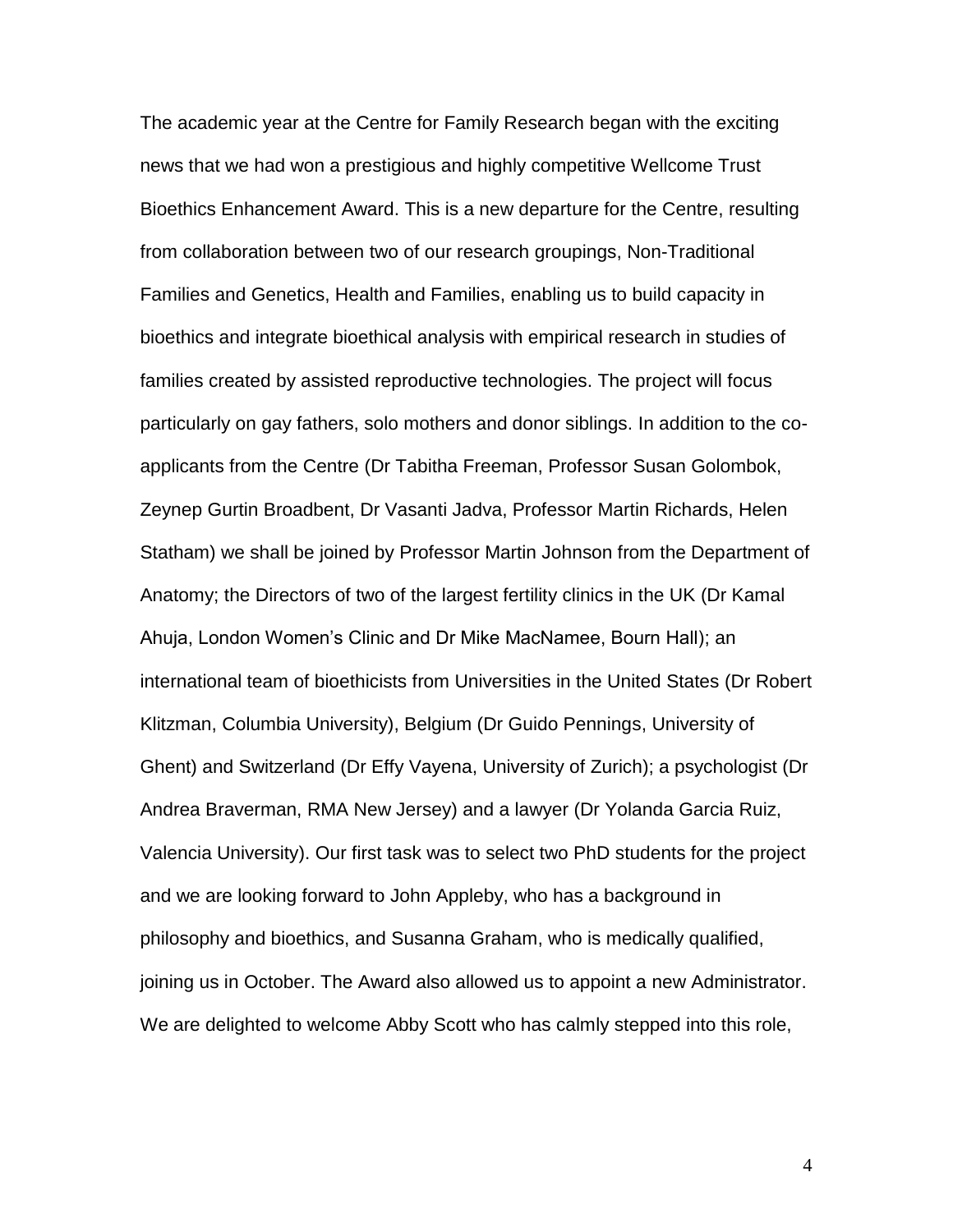The academic year at the Centre for Family Research began with the exciting news that we had won a prestigious and highly competitive Wellcome Trust Bioethics Enhancement Award. This is a new departure for the Centre, resulting from collaboration between two of our research groupings, Non-Traditional Families and Genetics, Health and Families, enabling us to build capacity in bioethics and integrate bioethical analysis with empirical research in studies of families created by assisted reproductive technologies. The project will focus particularly on gay fathers, solo mothers and donor siblings. In addition to the coapplicants from the Centre (Dr Tabitha Freeman, Professor Susan Golombok, Zeynep Gurtin Broadbent, Dr Vasanti Jadva, Professor Martin Richards, Helen Statham) we shall be joined by Professor Martin Johnson from the Department of Anatomy; the Directors of two of the largest fertility clinics in the UK (Dr Kamal Ahuja, London Women's Clinic and Dr Mike MacNamee, Bourn Hall); an international team of bioethicists from Universities in the United States (Dr Robert Klitzman, Columbia University), Belgium (Dr Guido Pennings, University of Ghent) and Switzerland (Dr Effy Vayena, University of Zurich); a psychologist (Dr Andrea Braverman, RMA New Jersey) and a lawyer (Dr Yolanda Garcia Ruiz, Valencia University). Our first task was to select two PhD students for the project and we are looking forward to John Appleby, who has a background in philosophy and bioethics, and Susanna Graham, who is medically qualified, joining us in October. The Award also allowed us to appoint a new Administrator. We are delighted to welcome Abby Scott who has calmly stepped into this role,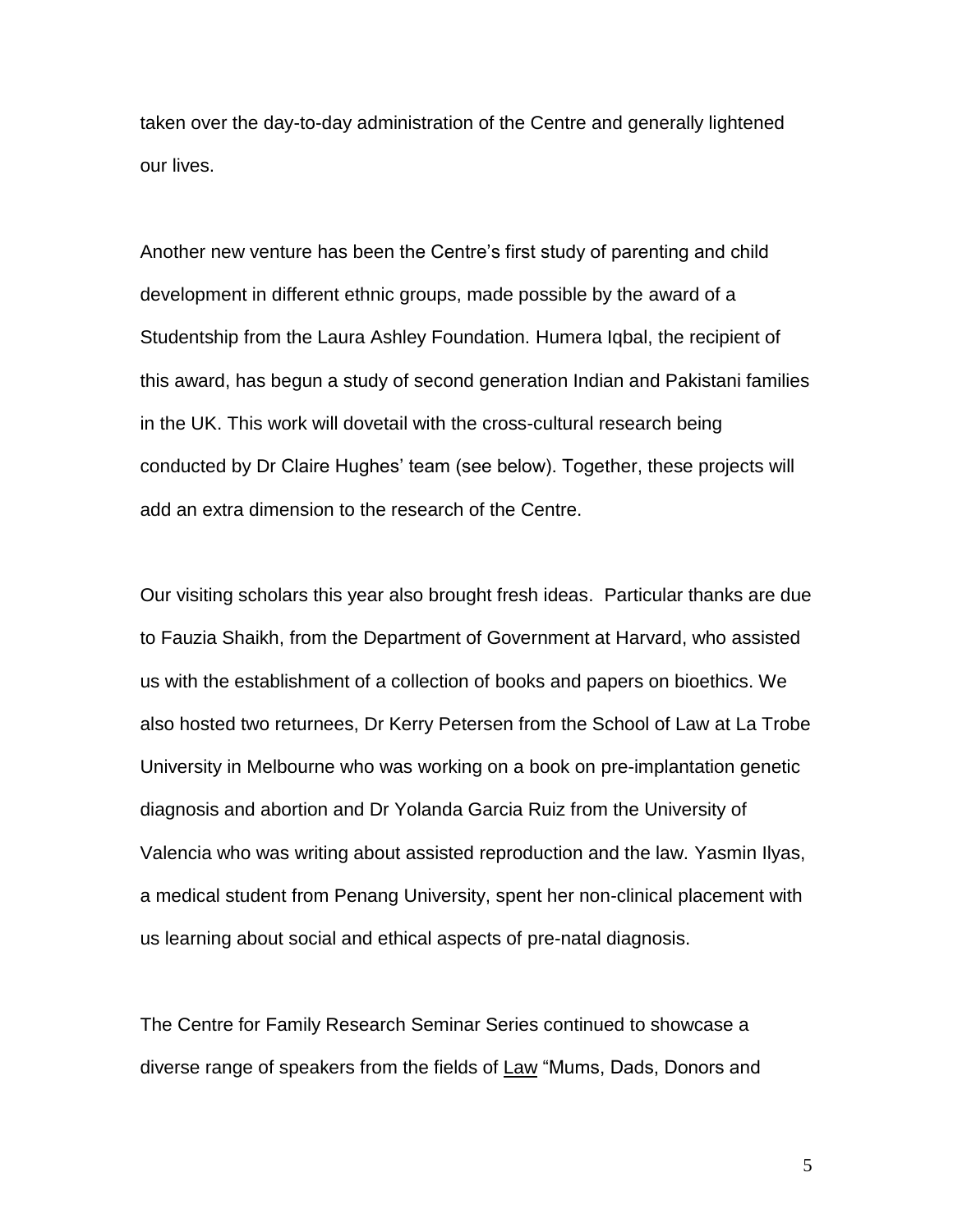taken over the day-to-day administration of the Centre and generally lightened our lives.

Another new venture has been the Centre's first study of parenting and child development in different ethnic groups, made possible by the award of a Studentship from the Laura Ashley Foundation. Humera Iqbal, the recipient of this award, has begun a study of second generation Indian and Pakistani families in the UK. This work will dovetail with the cross-cultural research being conducted by Dr Claire Hughes' team (see below). Together, these projects will add an extra dimension to the research of the Centre.

Our visiting scholars this year also brought fresh ideas. Particular thanks are due to Fauzia Shaikh, from the Department of Government at Harvard, who assisted us with the establishment of a collection of books and papers on bioethics. We also hosted two returnees, Dr Kerry Petersen from the School of Law at La Trobe University in Melbourne who was working on a book on pre-implantation genetic diagnosis and abortion and Dr Yolanda Garcia Ruiz from the University of Valencia who was writing about assisted reproduction and the law. Yasmin Ilyas, a medical student from Penang University, spent her non-clinical placement with us learning about social and ethical aspects of pre-natal diagnosis.

The Centre for Family Research Seminar Series continued to showcase a diverse range of speakers from the fields of Law "Mums, Dads, Donors and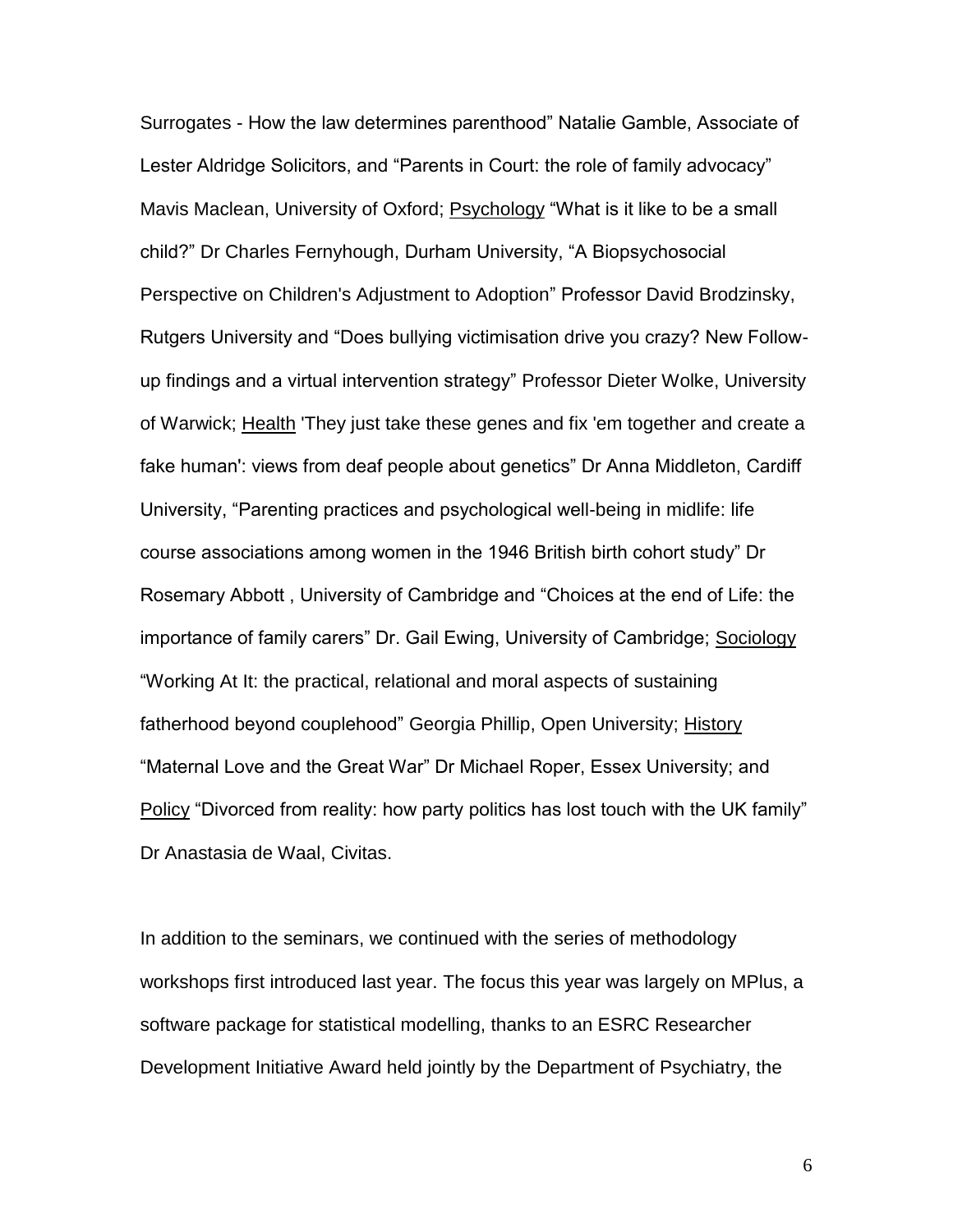Surrogates - How the law determines parenthood" Natalie Gamble, Associate of Lester Aldridge Solicitors, and "Parents in Court: the role of family advocacy" Mavis Maclean, University of Oxford; Psychology "What is it like to be a small child?" Dr Charles Fernyhough, Durham University, "A Biopsychosocial Perspective on Children's Adjustment to Adoption" Professor David Brodzinsky, Rutgers University and "Does bullying victimisation drive you crazy? New Followup findings and a virtual intervention strategy" Professor Dieter Wolke, University of Warwick; Health 'They just take these genes and fix 'em together and create a fake human': views from deaf people about genetics" Dr Anna Middleton, Cardiff University, "Parenting practices and psychological well-being in midlife: life course associations among women in the 1946 British birth cohort study" Dr Rosemary Abbott , University of Cambridge and "Choices at the end of Life: the importance of family carers" Dr. Gail Ewing, University of Cambridge; Sociology "Working At It: the practical, relational and moral aspects of sustaining fatherhood beyond couplehood" Georgia Phillip, Open University; History "Maternal Love and the Great War" Dr Michael Roper, Essex University; and Policy "Divorced from reality: how party politics has lost touch with the UK family" Dr Anastasia de Waal, Civitas.

In addition to the seminars, we continued with the series of methodology workshops first introduced last year. The focus this year was largely on MPlus, a software package for statistical modelling, thanks to an ESRC Researcher Development Initiative Award held jointly by the Department of Psychiatry, the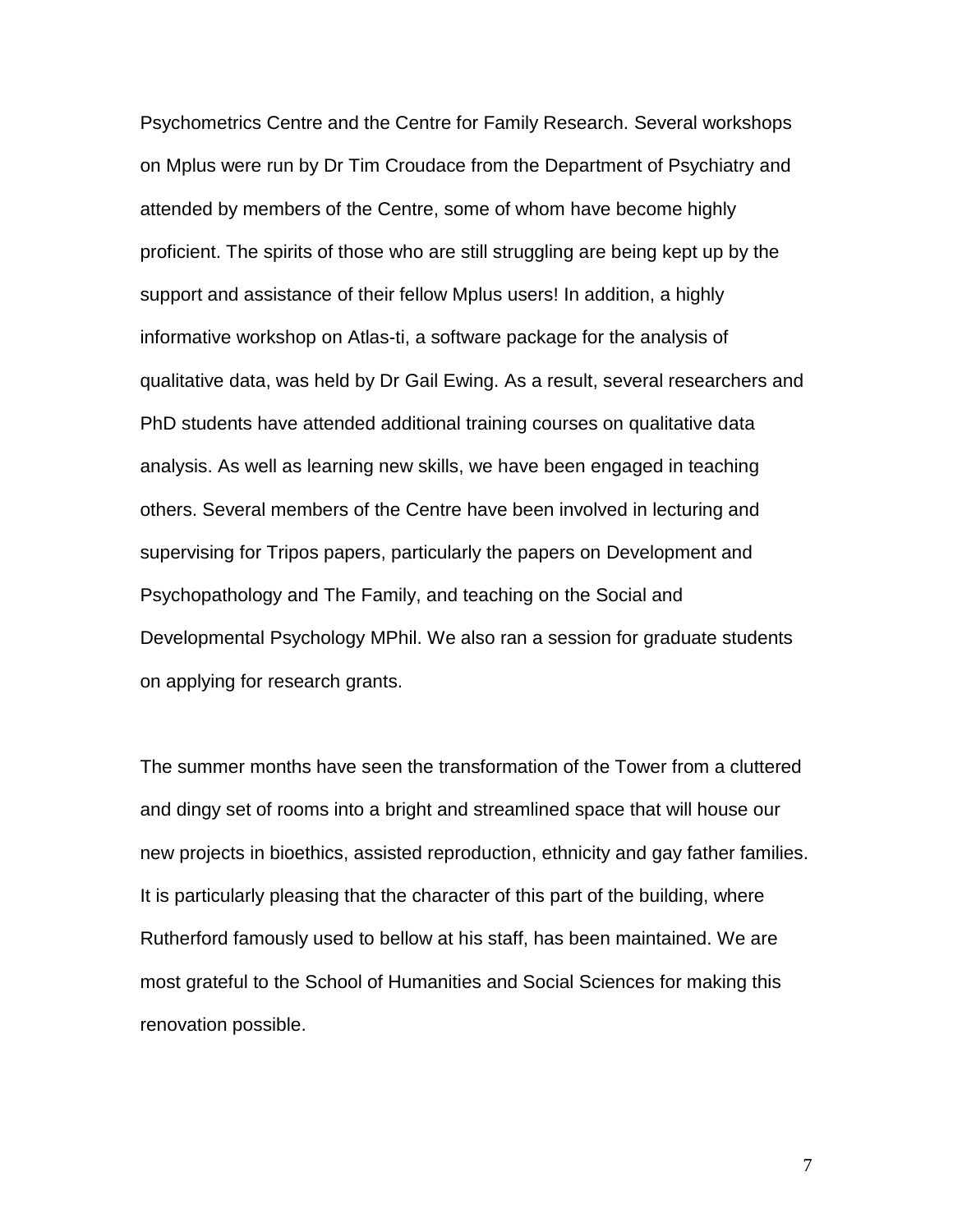Psychometrics Centre and the Centre for Family Research. Several workshops on Mplus were run by Dr Tim Croudace from the Department of Psychiatry and attended by members of the Centre, some of whom have become highly proficient. The spirits of those who are still struggling are being kept up by the support and assistance of their fellow Mplus users! In addition, a highly informative workshop on Atlas-ti, a software package for the analysis of qualitative data, was held by Dr Gail Ewing. As a result, several researchers and PhD students have attended additional training courses on qualitative data analysis. As well as learning new skills, we have been engaged in teaching others. Several members of the Centre have been involved in lecturing and supervising for Tripos papers, particularly the papers on Development and Psychopathology and The Family, and teaching on the Social and Developmental Psychology MPhil. We also ran a session for graduate students on applying for research grants.

The summer months have seen the transformation of the Tower from a cluttered and dingy set of rooms into a bright and streamlined space that will house our new projects in bioethics, assisted reproduction, ethnicity and gay father families. It is particularly pleasing that the character of this part of the building, where Rutherford famously used to bellow at his staff, has been maintained. We are most grateful to the School of Humanities and Social Sciences for making this renovation possible.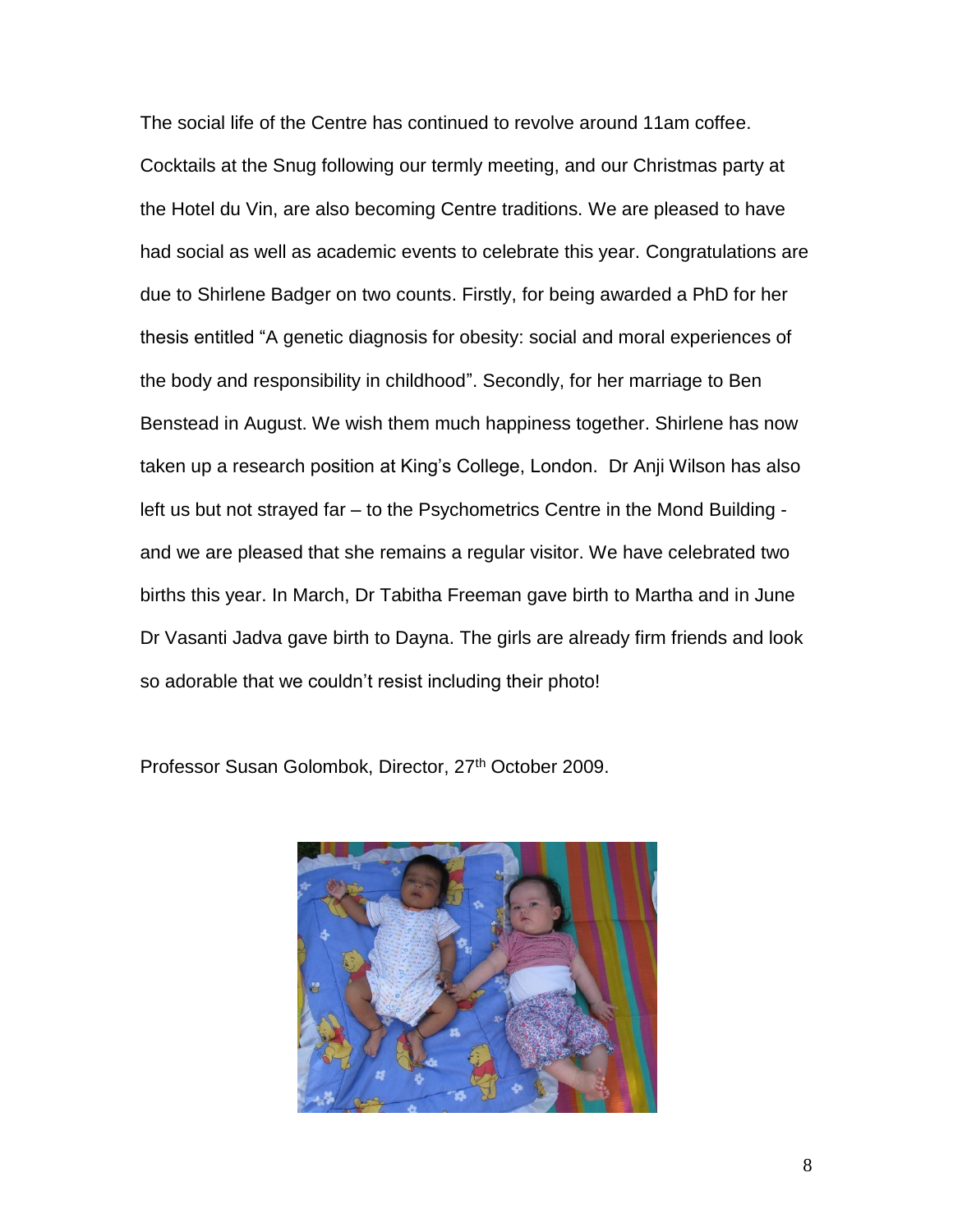The social life of the Centre has continued to revolve around 11am coffee. Cocktails at the Snug following our termly meeting, and our Christmas party at the Hotel du Vin, are also becoming Centre traditions. We are pleased to have had social as well as academic events to celebrate this year. Congratulations are due to Shirlene Badger on two counts. Firstly, for being awarded a PhD for her thesis entitled "A genetic diagnosis for obesity: social and moral experiences of the body and responsibility in childhood". Secondly, for her marriage to Ben Benstead in August. We wish them much happiness together. Shirlene has now taken up a research position at King's College, London. Dr Anji Wilson has also left us but not strayed far – to the Psychometrics Centre in the Mond Building and we are pleased that she remains a regular visitor. We have celebrated two births this year. In March, Dr Tabitha Freeman gave birth to Martha and in June Dr Vasanti Jadva gave birth to Dayna. The girls are already firm friends and look so adorable that we couldn't resist including their photo!

Professor Susan Golombok, Director, 27<sup>th</sup> October 2009.

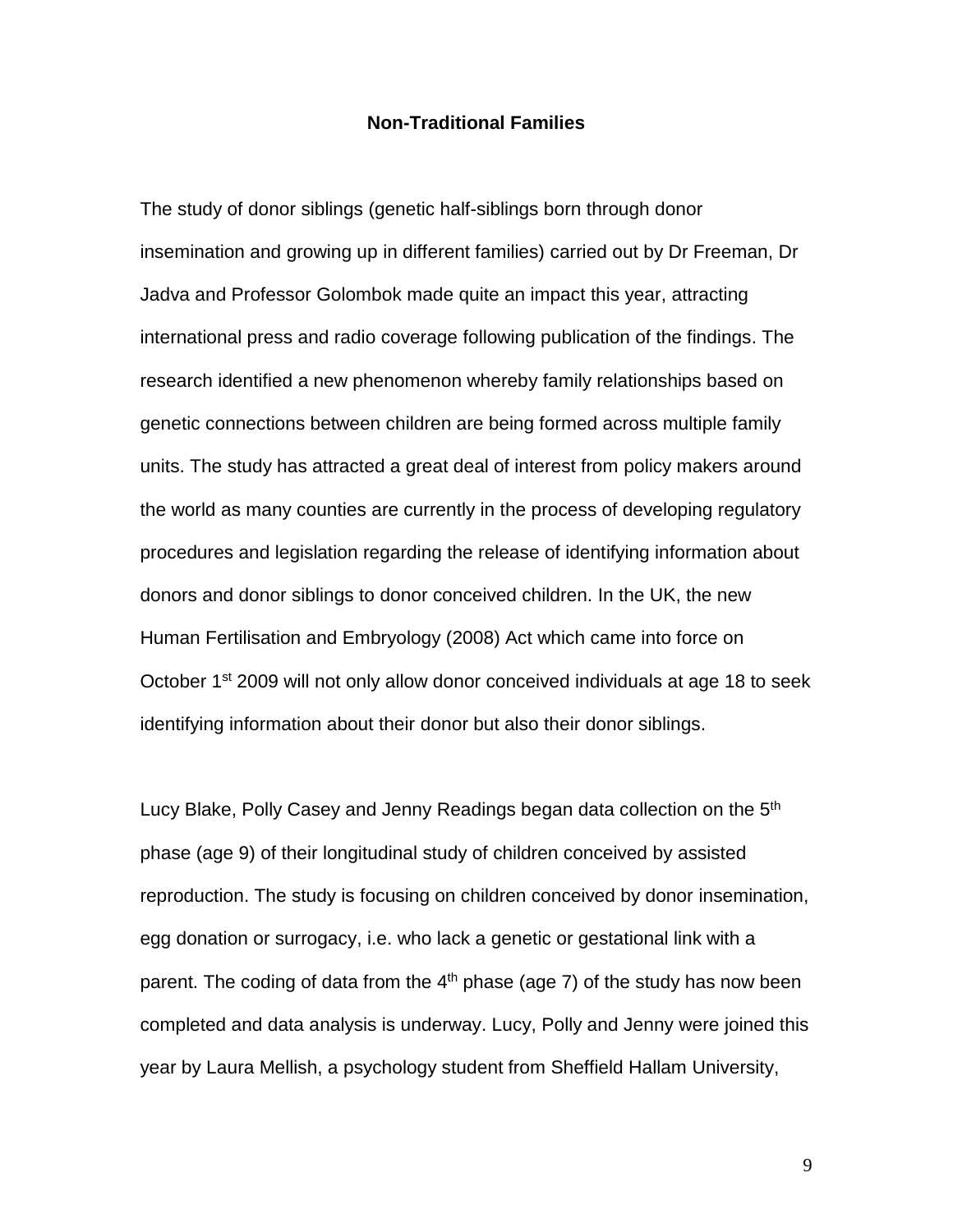#### **Non-Traditional Families**

The study of donor siblings (genetic half-siblings born through donor insemination and growing up in different families) carried out by Dr Freeman, Dr Jadva and Professor Golombok made quite an impact this year, attracting international press and radio coverage following publication of the findings. The research identified a new phenomenon whereby family relationships based on genetic connections between children are being formed across multiple family units. The study has attracted a great deal of interest from policy makers around the world as many counties are currently in the process of developing regulatory procedures and legislation regarding the release of identifying information about donors and donor siblings to donor conceived children. In the UK, the new Human Fertilisation and Embryology (2008) Act which came into force on October 1<sup>st</sup> 2009 will not only allow donor conceived individuals at age 18 to seek identifying information about their donor but also their donor siblings.

Lucy Blake, Polly Casey and Jenny Readings began data collection on the 5<sup>th</sup> phase (age 9) of their longitudinal study of children conceived by assisted reproduction. The study is focusing on children conceived by donor insemination, egg donation or surrogacy, i.e. who lack a genetic or gestational link with a parent. The coding of data from the  $4<sup>th</sup>$  phase (age 7) of the study has now been completed and data analysis is underway. Lucy, Polly and Jenny were joined this year by Laura Mellish, a psychology student from Sheffield Hallam University,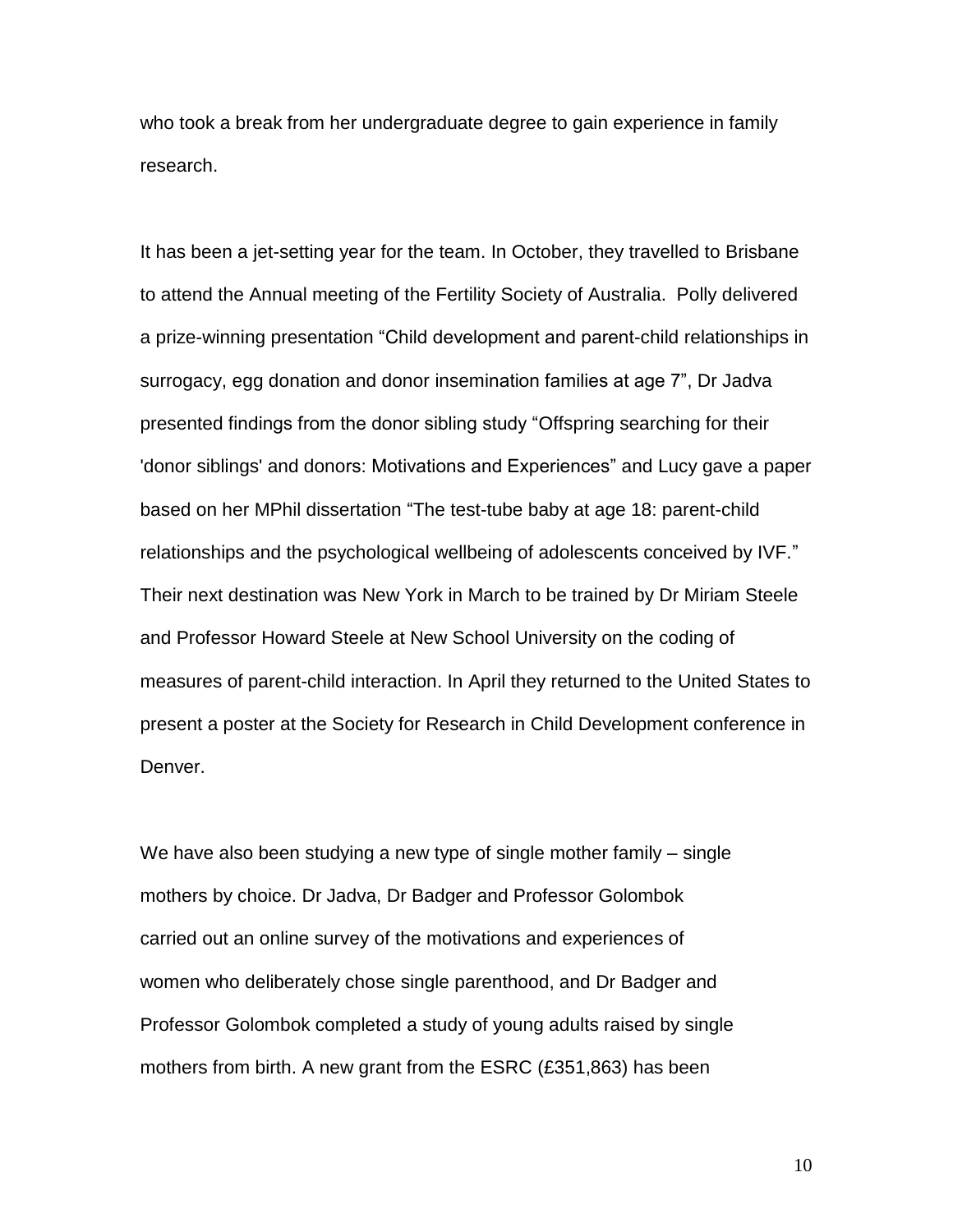who took a break from her undergraduate degree to gain experience in family research.

It has been a jet-setting year for the team. In October, they travelled to Brisbane to attend the Annual meeting of the Fertility Society of Australia. Polly delivered a prize-winning presentation "Child development and parent-child relationships in surrogacy, egg donation and donor insemination families at age 7", Dr Jadva presented findings from the donor sibling study "Offspring searching for their 'donor siblings' and donors: Motivations and Experiences" and Lucy gave a paper based on her MPhil dissertation "The test-tube baby at age 18: parent-child relationships and the psychological wellbeing of adolescents conceived by IVF." Their next destination was New York in March to be trained by Dr Miriam Steele and Professor Howard Steele at New School University on the coding of measures of parent-child interaction. In April they returned to the United States to present a poster at the Society for Research in Child Development conference in Denver.

We have also been studying a new type of single mother family – single mothers by choice. Dr Jadva, Dr Badger and Professor Golombok carried out an online survey of the motivations and experiences of women who deliberately chose single parenthood, and Dr Badger and Professor Golombok completed a study of young adults raised by single mothers from birth. A new grant from the ESRC (£351,863) has been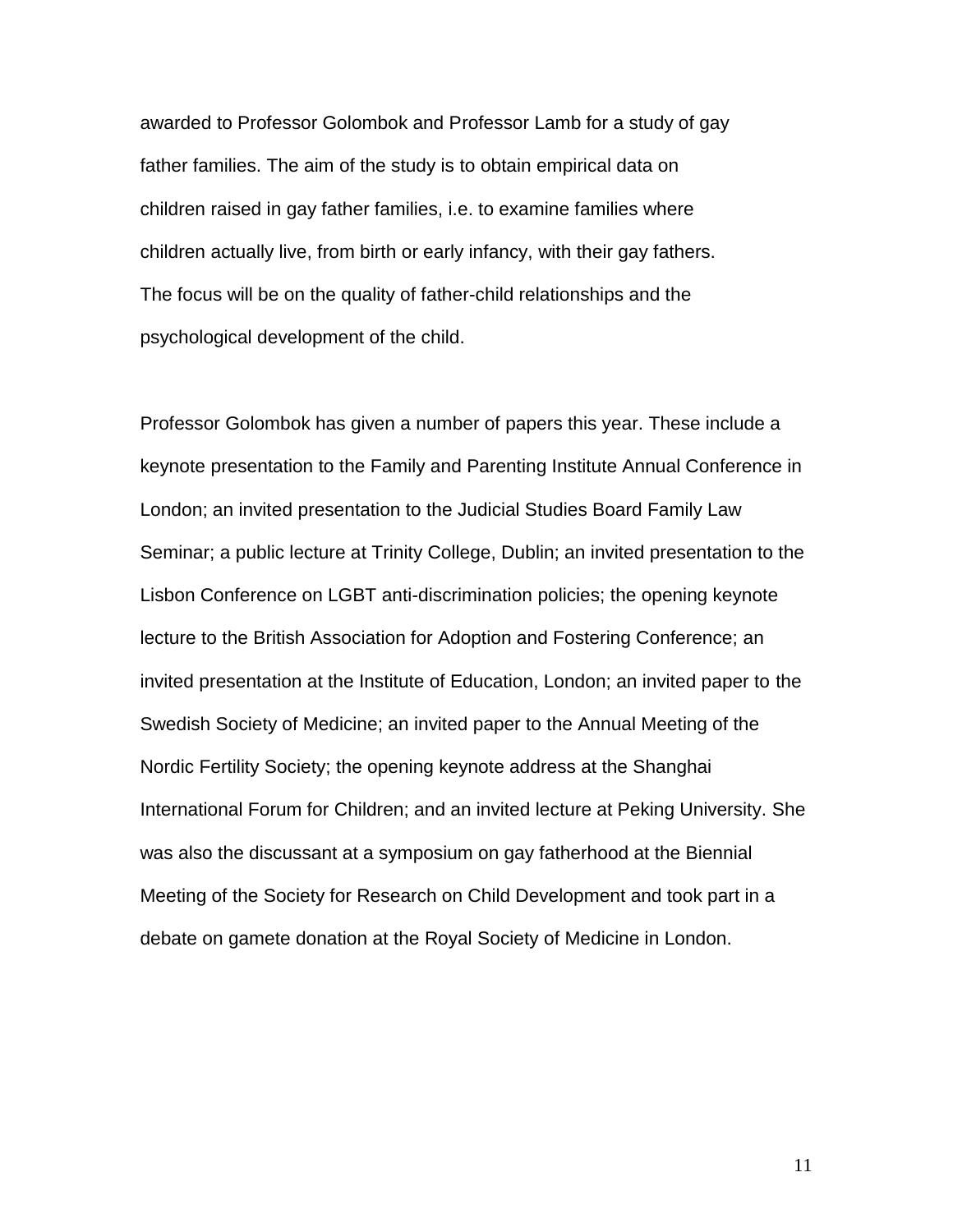awarded to Professor Golombok and Professor Lamb for a study of gay father families. The aim of the study is to obtain empirical data on children raised in gay father families, i.e. to examine families where children actually live, from birth or early infancy, with their gay fathers. The focus will be on the quality of father-child relationships and the psychological development of the child.

Professor Golombok has given a number of papers this year. These include a keynote presentation to the Family and Parenting Institute Annual Conference in London; an invited presentation to the Judicial Studies Board Family Law Seminar; a public lecture at Trinity College, Dublin; an invited presentation to the Lisbon Conference on LGBT anti-discrimination policies; the opening keynote lecture to the British Association for Adoption and Fostering Conference; an invited presentation at the Institute of Education, London; an invited paper to the Swedish Society of Medicine; an invited paper to the Annual Meeting of the Nordic Fertility Society; the opening keynote address at the Shanghai International Forum for Children; and an invited lecture at Peking University. She was also the discussant at a symposium on gay fatherhood at the Biennial Meeting of the Society for Research on Child Development and took part in a debate on gamete donation at the Royal Society of Medicine in London.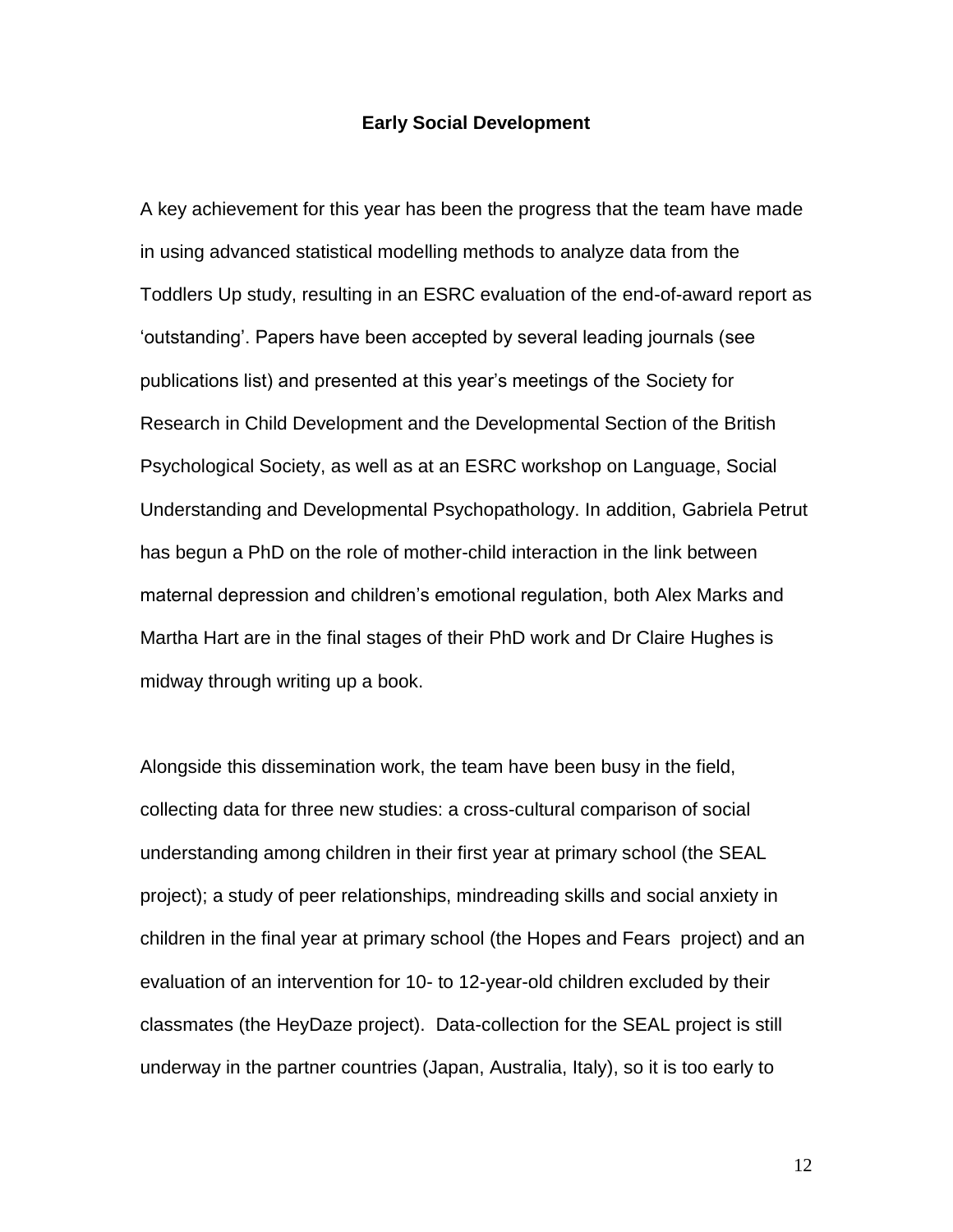#### **Early Social Development**

A key achievement for this year has been the progress that the team have made in using advanced statistical modelling methods to analyze data from the Toddlers Up study, resulting in an ESRC evaluation of the end-of-award report as 'outstanding'. Papers have been accepted by several leading journals (see publications list) and presented at this year's meetings of the Society for Research in Child Development and the Developmental Section of the British Psychological Society, as well as at an ESRC workshop on Language, Social Understanding and Developmental Psychopathology. In addition, Gabriela Petrut has begun a PhD on the role of mother-child interaction in the link between maternal depression and children's emotional regulation, both Alex Marks and Martha Hart are in the final stages of their PhD work and Dr Claire Hughes is midway through writing up a book.

Alongside this dissemination work, the team have been busy in the field, collecting data for three new studies: a cross-cultural comparison of social understanding among children in their first year at primary school (the SEAL project); a study of peer relationships, mindreading skills and social anxiety in children in the final year at primary school (the Hopes and Fears project) and an evaluation of an intervention for 10- to 12-year-old children excluded by their classmates (the HeyDaze project). Data-collection for the SEAL project is still underway in the partner countries (Japan, Australia, Italy), so it is too early to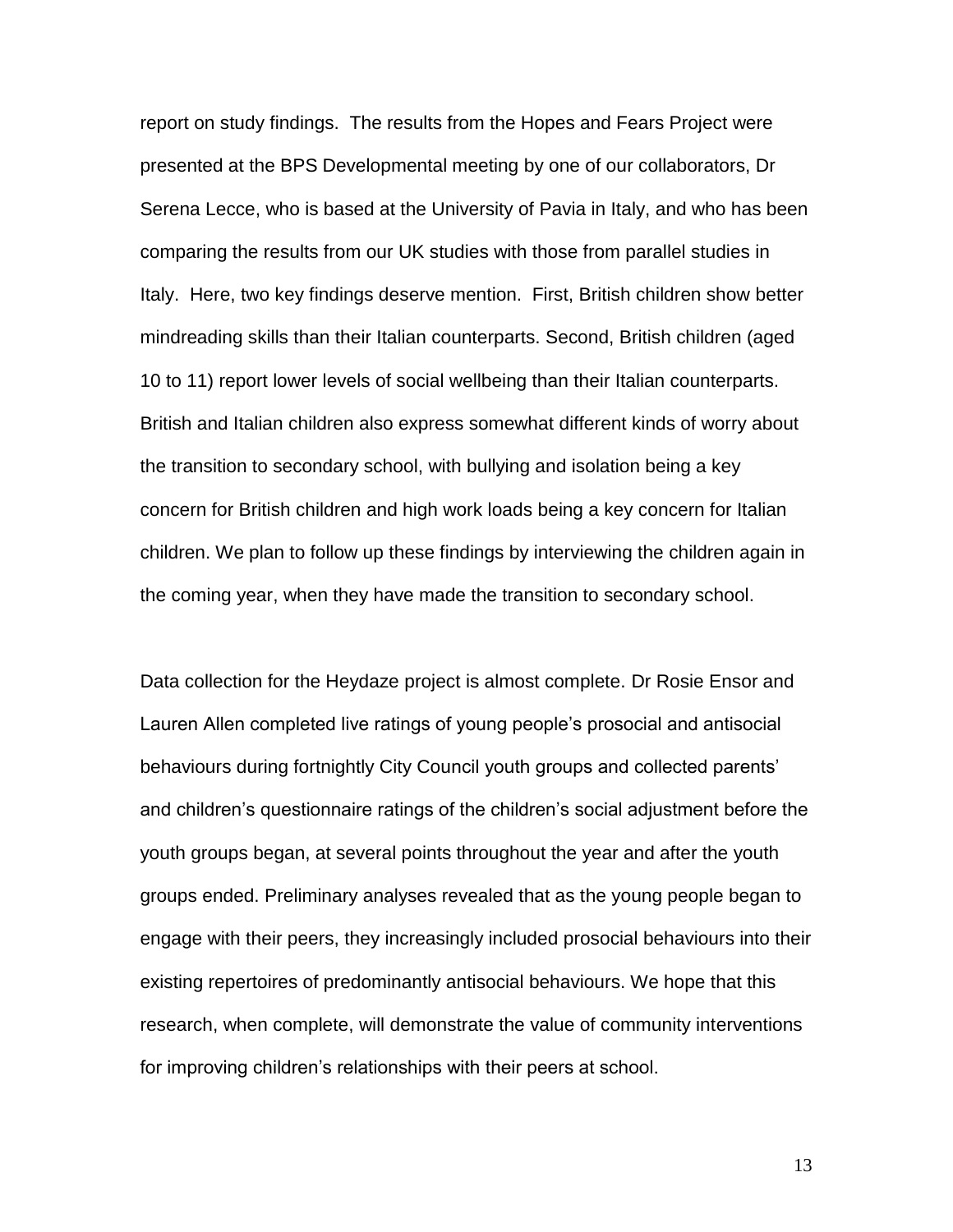report on study findings. The results from the Hopes and Fears Project were presented at the BPS Developmental meeting by one of our collaborators, Dr Serena Lecce, who is based at the University of Pavia in Italy, and who has been comparing the results from our UK studies with those from parallel studies in Italy. Here, two key findings deserve mention. First, British children show better mindreading skills than their Italian counterparts. Second, British children (aged 10 to 11) report lower levels of social wellbeing than their Italian counterparts. British and Italian children also express somewhat different kinds of worry about the transition to secondary school, with bullying and isolation being a key concern for British children and high work loads being a key concern for Italian children. We plan to follow up these findings by interviewing the children again in the coming year, when they have made the transition to secondary school.

Data collection for the Heydaze project is almost complete. Dr Rosie Ensor and Lauren Allen completed live ratings of young people's prosocial and antisocial behaviours during fortnightly City Council youth groups and collected parents' and children's questionnaire ratings of the children's social adjustment before the youth groups began, at several points throughout the year and after the youth groups ended. Preliminary analyses revealed that as the young people began to engage with their peers, they increasingly included prosocial behaviours into their existing repertoires of predominantly antisocial behaviours. We hope that this research, when complete, will demonstrate the value of community interventions for improving children's relationships with their peers at school.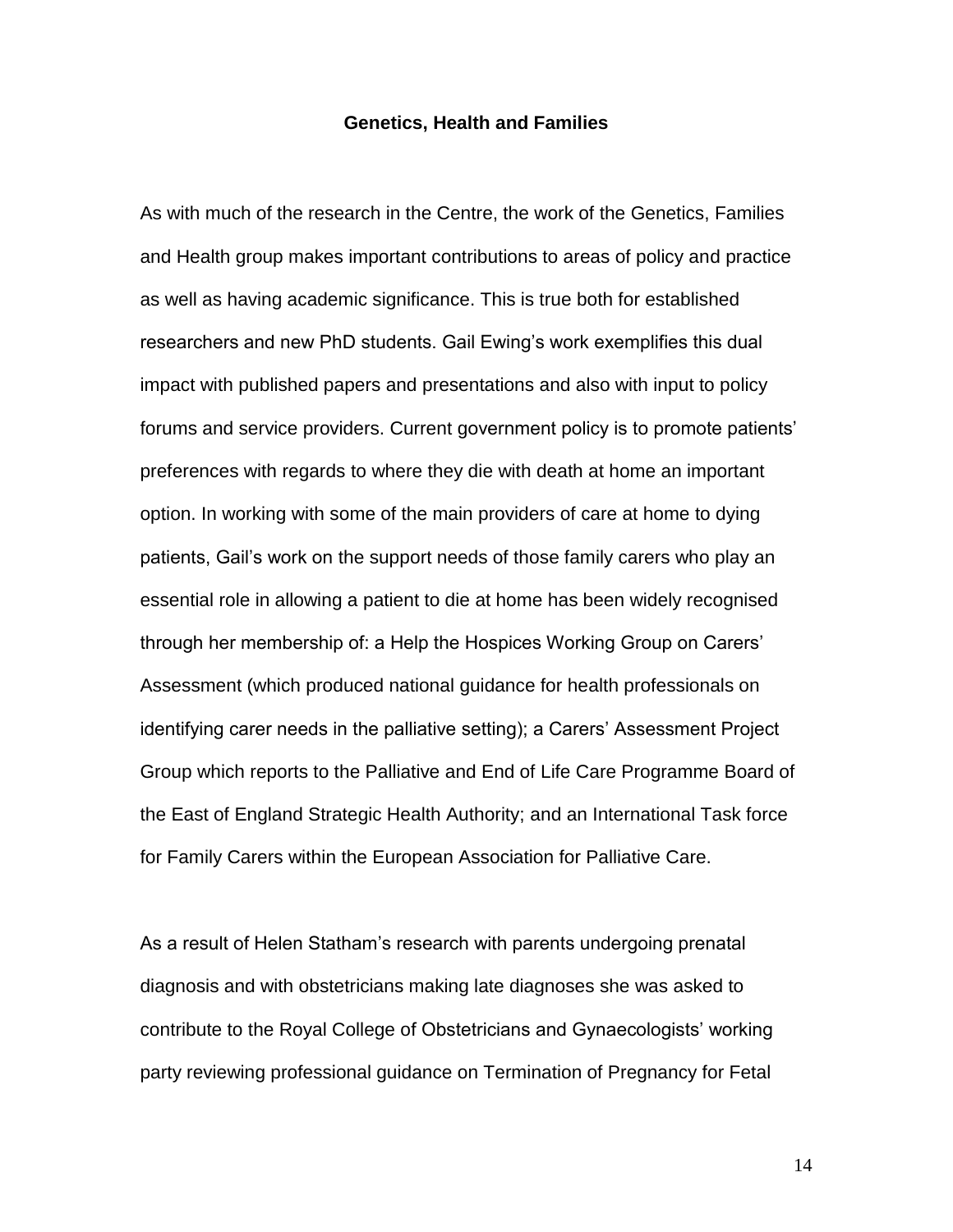#### **Genetics, Health and Families**

As with much of the research in the Centre, the work of the Genetics, Families and Health group makes important contributions to areas of policy and practice as well as having academic significance. This is true both for established researchers and new PhD students. Gail Ewing's work exemplifies this dual impact with published papers and presentations and also with input to policy forums and service providers. Current government policy is to promote patients' preferences with regards to where they die with death at home an important option. In working with some of the main providers of care at home to dying patients, Gail's work on the support needs of those family carers who play an essential role in allowing a patient to die at home has been widely recognised through her membership of: a Help the Hospices Working Group on Carers' Assessment (which produced national guidance for health professionals on identifying carer needs in the palliative setting); a Carers' Assessment Project Group which reports to the Palliative and End of Life Care Programme Board of the East of England Strategic Health Authority; and an International Task force for Family Carers within the European Association for Palliative Care.

As a result of Helen Statham's research with parents undergoing prenatal diagnosis and with obstetricians making late diagnoses she was asked to contribute to the Royal College of Obstetricians and Gynaecologists' working party reviewing professional guidance on Termination of Pregnancy for Fetal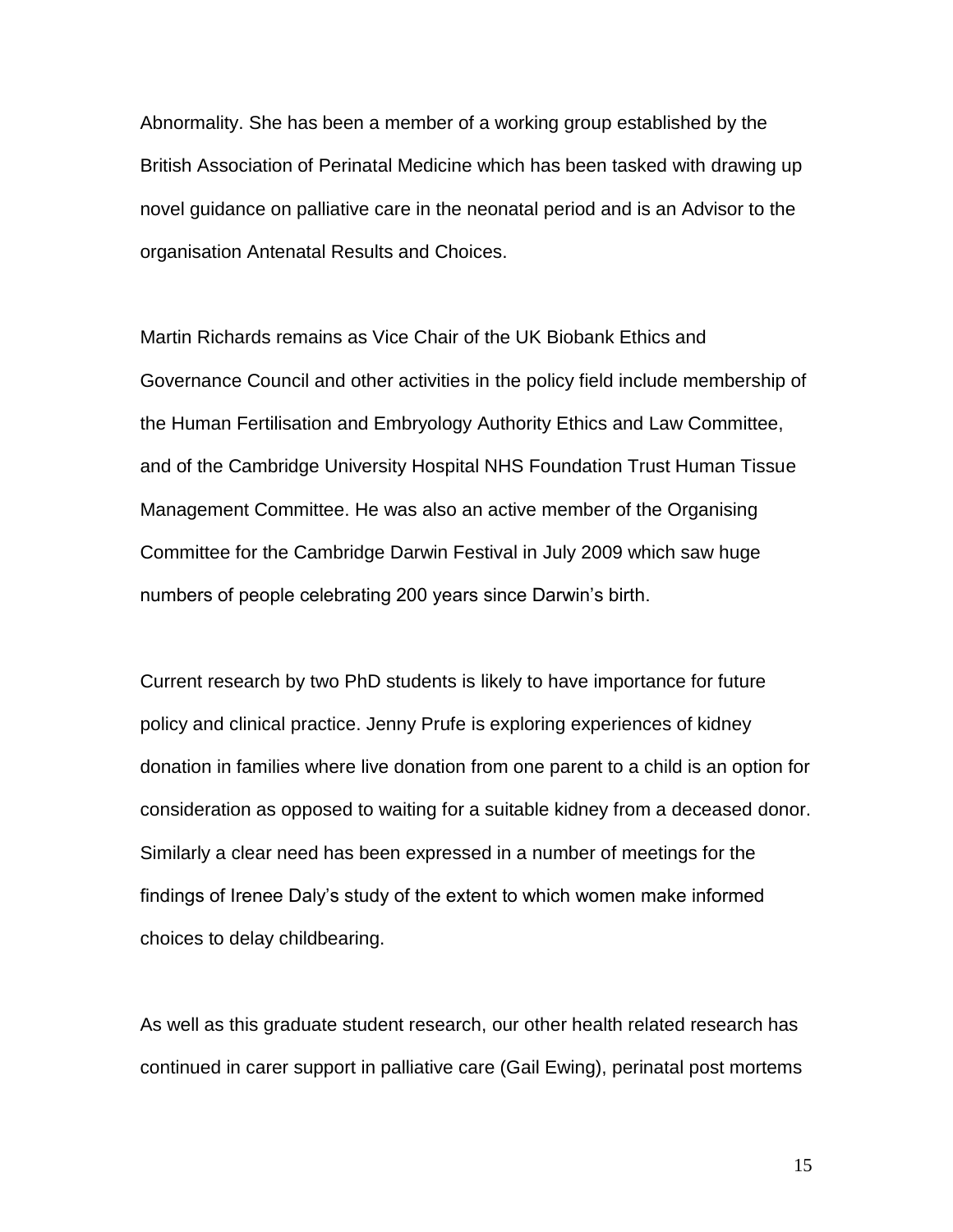Abnormality. She has been a member of a working group established by the British Association of Perinatal Medicine which has been tasked with drawing up novel guidance on palliative care in the neonatal period and is an Advisor to the organisation Antenatal Results and Choices.

Martin Richards remains as Vice Chair of the UK Biobank Ethics and Governance Council and other activities in the policy field include membership of the Human Fertilisation and Embryology Authority Ethics and Law Committee, and of the Cambridge University Hospital NHS Foundation Trust Human Tissue Management Committee. He was also an active member of the Organising Committee for the Cambridge Darwin Festival in July 2009 which saw huge numbers of people celebrating 200 years since Darwin's birth.

Current research by two PhD students is likely to have importance for future policy and clinical practice. Jenny Prufe is exploring experiences of kidney donation in families where live donation from one parent to a child is an option for consideration as opposed to waiting for a suitable kidney from a deceased donor. Similarly a clear need has been expressed in a number of meetings for the findings of Irenee Daly's study of the extent to which women make informed choices to delay childbearing.

As well as this graduate student research, our other health related research has continued in carer support in palliative care (Gail Ewing), perinatal post mortems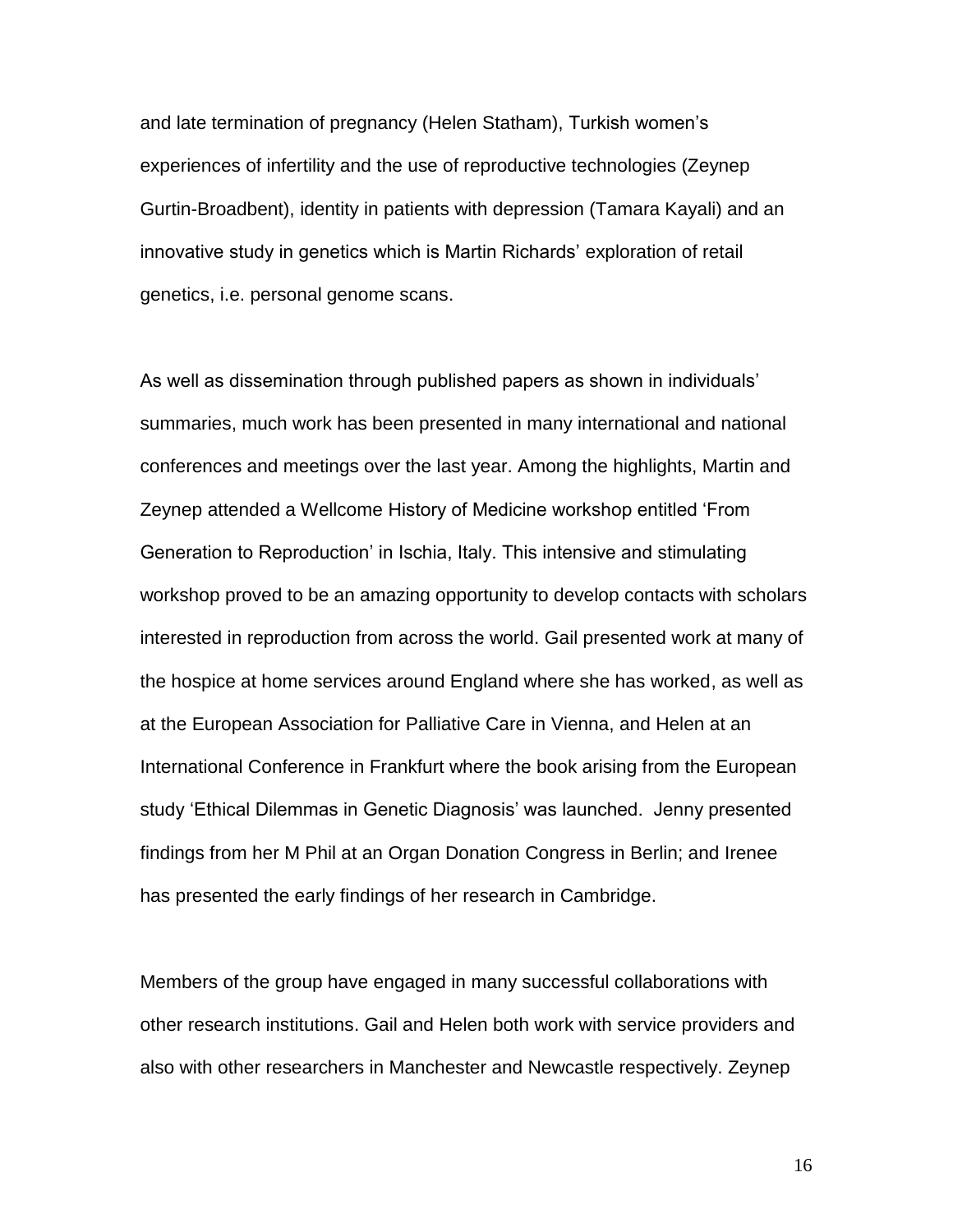and late termination of pregnancy (Helen Statham), Turkish women's experiences of infertility and the use of reproductive technologies (Zeynep Gurtin-Broadbent), identity in patients with depression (Tamara Kayali) and an innovative study in genetics which is Martin Richards' exploration of retail genetics, i.e. personal genome scans.

As well as dissemination through published papers as shown in individuals' summaries, much work has been presented in many international and national conferences and meetings over the last year. Among the highlights, Martin and Zeynep attended a Wellcome History of Medicine workshop entitled 'From Generation to Reproduction' in Ischia, Italy. This intensive and stimulating workshop proved to be an amazing opportunity to develop contacts with scholars interested in reproduction from across the world. Gail presented work at many of the hospice at home services around England where she has worked, as well as at the European Association for Palliative Care in Vienna, and Helen at an International Conference in Frankfurt where the book arising from the European study 'Ethical Dilemmas in Genetic Diagnosis' was launched. Jenny presented findings from her M Phil at an Organ Donation Congress in Berlin; and Irenee has presented the early findings of her research in Cambridge.

Members of the group have engaged in many successful collaborations with other research institutions. Gail and Helen both work with service providers and also with other researchers in Manchester and Newcastle respectively. Zeynep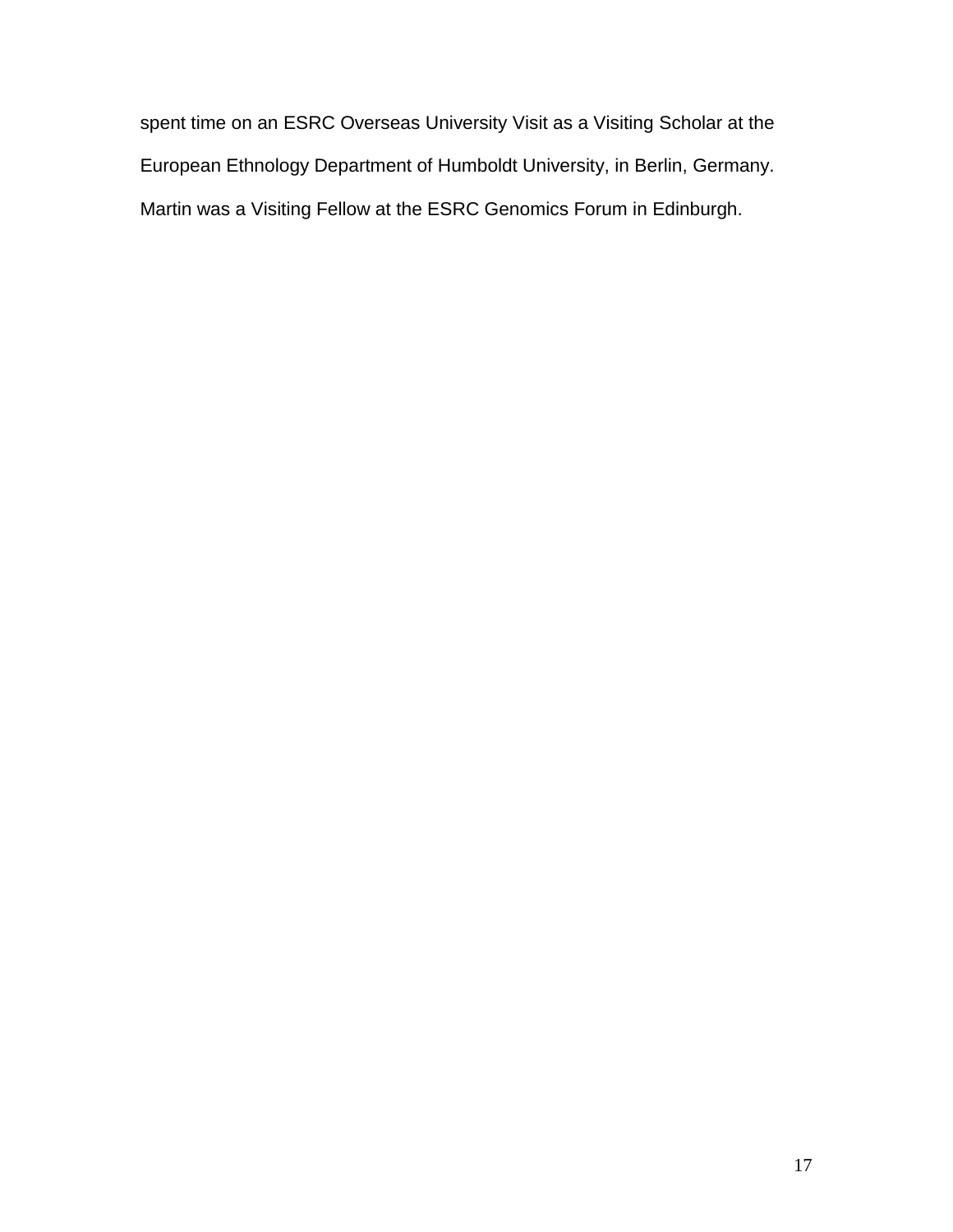spent time on an ESRC Overseas University Visit as a Visiting Scholar at the European Ethnology Department of Humboldt University, in Berlin, Germany. Martin was a Visiting Fellow at the ESRC Genomics Forum in Edinburgh.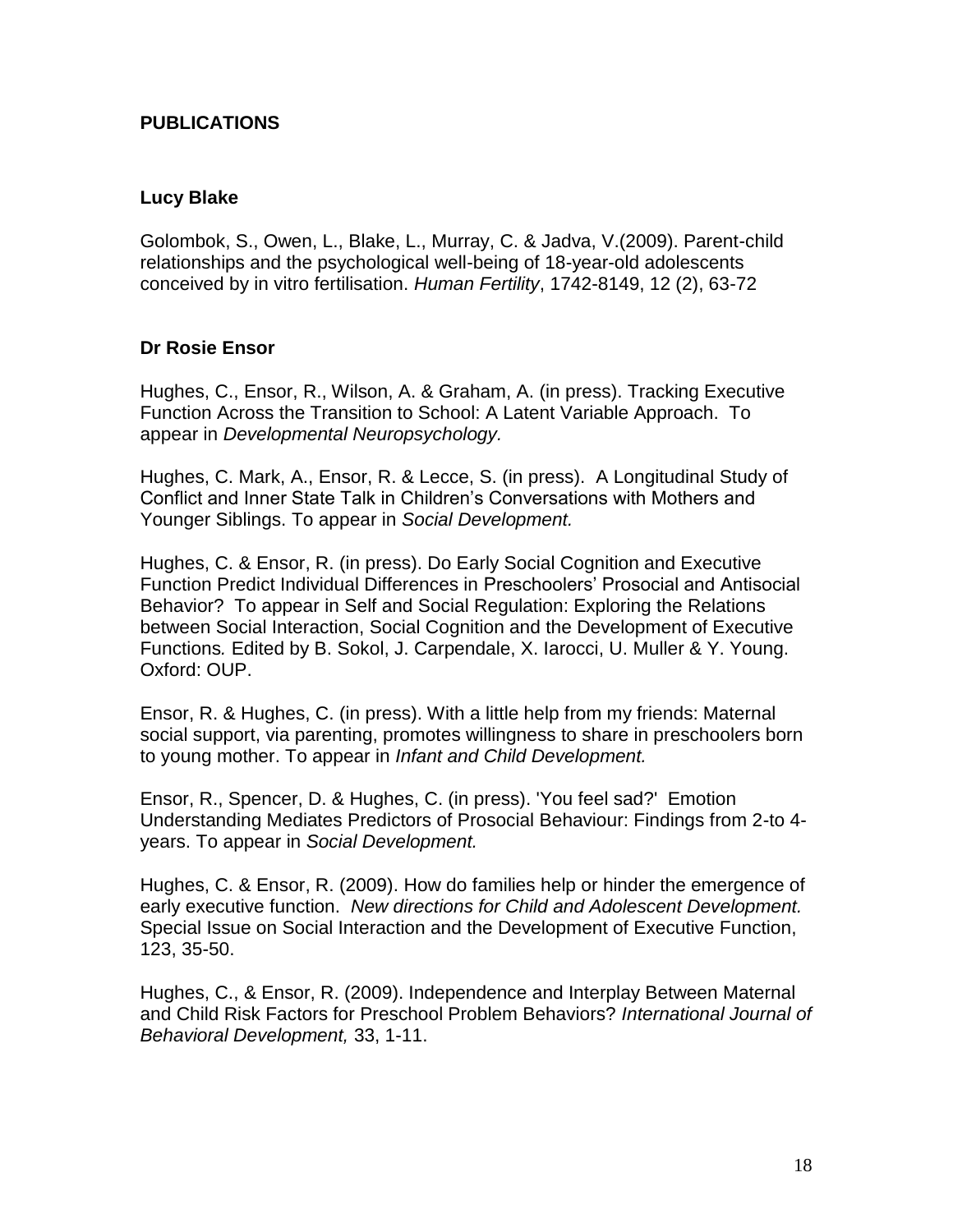### **PUBLICATIONS**

#### **Lucy Blake**

Golombok, S., Owen, L., Blake, L., Murray, C. & Jadva, V.(2009). Parent-child relationships and the psychological well-being of 18-year-old adolescents conceived by in vitro fertilisation. *Human Fertility*, 1742-8149, 12 (2), 63-72

#### **Dr Rosie Ensor**

Hughes, C., Ensor, R., Wilson, A. & Graham, A. (in press). Tracking Executive Function Across the Transition to School: A Latent Variable Approach. To appear in *Developmental Neuropsychology.*

Hughes, C. Mark, A., Ensor, R. & Lecce, S. (in press). A Longitudinal Study of Conflict and Inner State Talk in Children's Conversations with Mothers and Younger Siblings. To appear in *Social Development.*

Hughes, C. & Ensor, R. (in press). Do Early Social Cognition and Executive Function Predict Individual Differences in Preschoolers' Prosocial and Antisocial Behavior? To appear in Self and Social Regulation: Exploring the Relations between Social Interaction, Social Cognition and the Development of Executive Functions*.* Edited by B. Sokol, J. Carpendale, X. Iarocci, U. Muller & Y. Young. Oxford: OUP.

Ensor, R. & Hughes, C. (in press). With a little help from my friends: Maternal social support, via parenting, promotes willingness to share in preschoolers born to young mother. To appear in *Infant and Child Development.*

Ensor, R., Spencer, D. & Hughes, C. (in press). 'You feel sad?' Emotion Understanding Mediates Predictors of Prosocial Behaviour: Findings from 2-to 4 years. To appear in *Social Development.*

Hughes, C. & Ensor, R. (2009). How do families help or hinder the emergence of early executive function. *New directions for Child and Adolescent Development.* Special Issue on Social Interaction and the Development of Executive Function, 123, 35-50.

Hughes, C., & Ensor, R. (2009). Independence and Interplay Between Maternal and Child Risk Factors for Preschool Problem Behaviors? *International Journal of Behavioral Development,* 33, 1-11.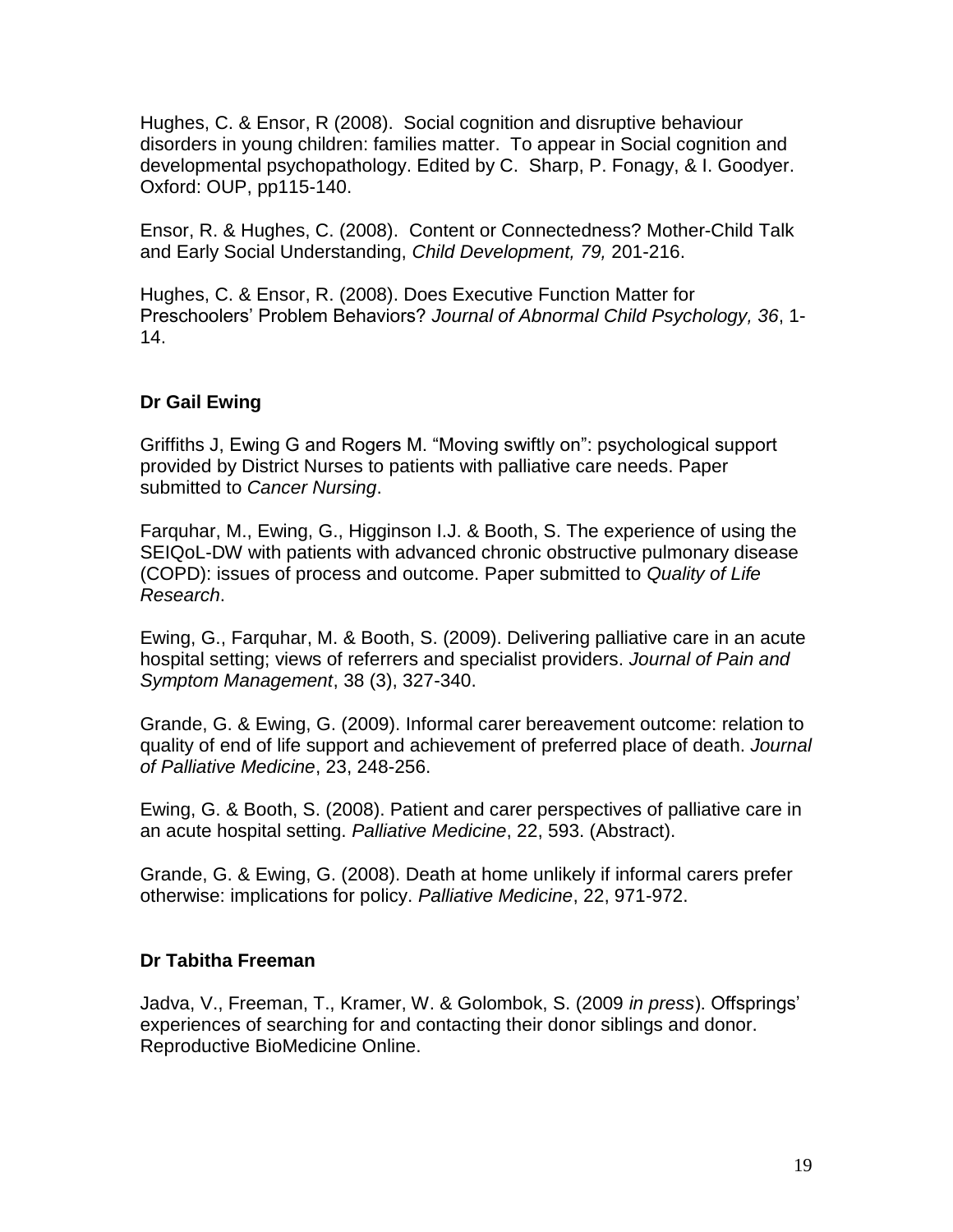Hughes, C. & Ensor, R (2008). Social cognition and disruptive behaviour disorders in young children: families matter. To appear in Social cognition and developmental psychopathology. Edited by C. Sharp, P. Fonagy, & I. Goodyer. Oxford: OUP, pp115-140.

Ensor, R. & Hughes, C. (2008). Content or Connectedness? Mother-Child Talk and Early Social Understanding, *Child Development, 79,* 201-216.

Hughes, C. & Ensor, R. (2008). Does Executive Function Matter for Preschoolers' Problem Behaviors? *Journal of Abnormal Child Psychology, 36*, 1- 14.

### **Dr Gail Ewing**

Griffiths J, Ewing G and Rogers M. "Moving swiftly on": psychological support provided by District Nurses to patients with palliative care needs. Paper submitted to *Cancer Nursing*.

Farquhar, M., Ewing, G., Higginson I.J. & Booth, S. The experience of using the SEIQoL-DW with patients with advanced chronic obstructive pulmonary disease (COPD): issues of process and outcome. Paper submitted to *Quality of Life Research*.

Ewing, G., Farquhar, M. & Booth, S. (2009). Delivering palliative care in an acute hospital setting; views of referrers and specialist providers. *Journal of Pain and Symptom Management*, 38 (3), 327-340.

Grande, G. & Ewing, G. (2009). Informal carer bereavement outcome: relation to quality of end of life support and achievement of preferred place of death. *Journal of Palliative Medicine*, 23, 248-256.

Ewing, G. & Booth, S. (2008). Patient and carer perspectives of palliative care in an acute hospital setting. *Palliative Medicine*, 22, 593. (Abstract).

Grande, G. & Ewing, G. (2008). Death at home unlikely if informal carers prefer otherwise: implications for policy. *Palliative Medicine*, 22, 971-972.

### **Dr Tabitha Freeman**

Jadva, V., Freeman, T., Kramer, W. & Golombok, S. (2009 *in press*). Offsprings' experiences of searching for and contacting their donor siblings and donor. Reproductive BioMedicine Online.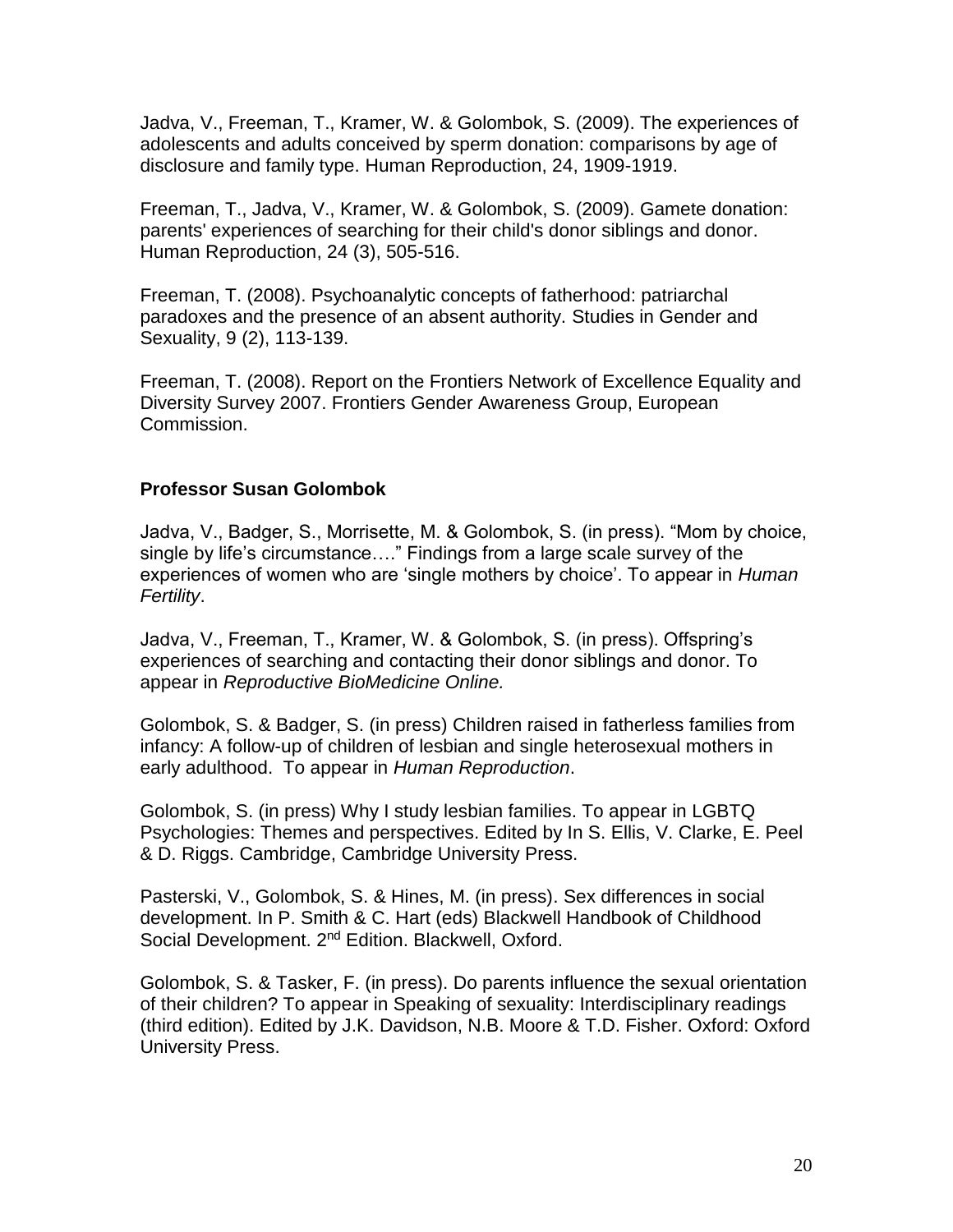Jadva, V., Freeman, T., Kramer, W. & Golombok, S. (2009). The experiences of adolescents and adults conceived by sperm donation: comparisons by age of disclosure and family type. Human Reproduction, 24, 1909-1919.

Freeman, T., Jadva, V., Kramer, W. & Golombok, S. (2009). Gamete donation: parents' experiences of searching for their child's donor siblings and donor. Human Reproduction, 24 (3), 505-516.

Freeman, T. (2008). Psychoanalytic concepts of fatherhood: patriarchal paradoxes and the presence of an absent authority. Studies in Gender and Sexuality, 9 (2), 113-139.

Freeman, T. (2008). Report on the Frontiers Network of Excellence Equality and Diversity Survey 2007. Frontiers Gender Awareness Group, European Commission.

#### **Professor Susan Golombok**

Jadva, V., Badger, S., Morrisette, M. & Golombok, S. (in press). "Mom by choice, single by life's circumstance…." Findings from a large scale survey of the experiences of women who are 'single mothers by choice'. To appear in *Human Fertility*.

Jadva, V., Freeman, T., Kramer, W. & Golombok, S. (in press). Offspring's experiences of searching and contacting their donor siblings and donor. To appear in *Reproductive BioMedicine Online.*

Golombok, S. & Badger, S. (in press) Children raised in fatherless families from infancy: A follow-up of children of lesbian and single heterosexual mothers in early adulthood. To appear in *Human Reproduction*.

Golombok, S. (in press) Why I study lesbian families. To appear in LGBTQ Psychologies: Themes and perspectives. Edited by In S. Ellis, V. Clarke, E. Peel & D. Riggs. Cambridge, Cambridge University Press.

Pasterski, V., Golombok, S. & Hines, M. (in press). Sex differences in social development. In P. Smith & C. Hart (eds) Blackwell Handbook of Childhood Social Development. 2<sup>nd</sup> Edition. Blackwell, Oxford.

Golombok, S. & Tasker, F. (in press). Do parents influence the sexual orientation of their children? To appear in Speaking of sexuality: Interdisciplinary readings (third edition). Edited by J.K. Davidson, N.B. Moore & T.D. Fisher. Oxford: Oxford University Press.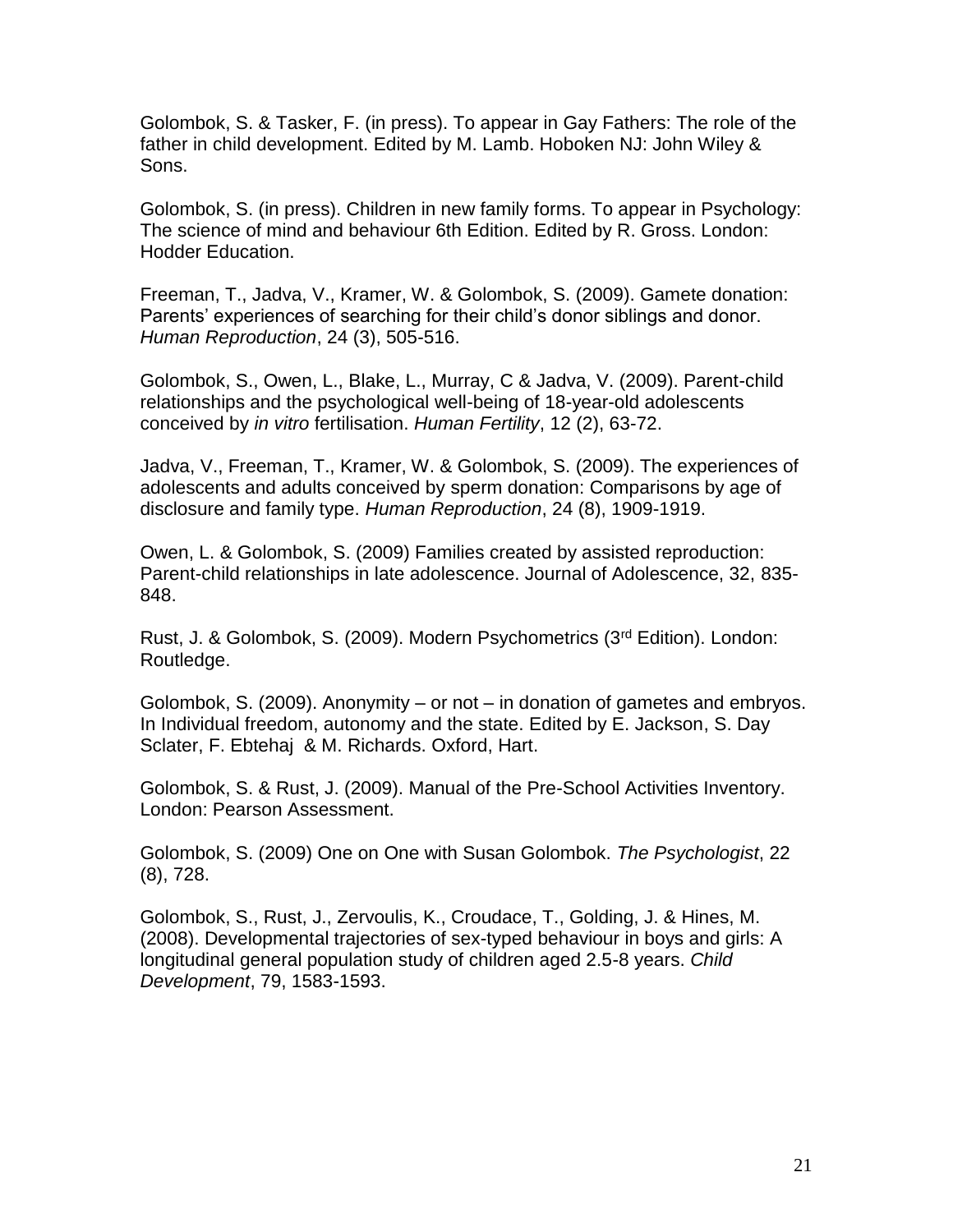Golombok, S. & Tasker, F. (in press). To appear in Gay Fathers: The role of the father in child development. Edited by M. Lamb. Hoboken NJ: John Wiley & Sons.

Golombok, S. (in press). Children in new family forms. To appear in Psychology: The science of mind and behaviour 6th Edition. Edited by R. Gross. London: Hodder Education.

Freeman, T., Jadva, V., Kramer, W. & Golombok, S. (2009). Gamete donation: Parents' experiences of searching for their child's donor siblings and donor. *Human Reproduction*, 24 (3), 505-516.

Golombok, S., Owen, L., Blake, L., Murray, C & Jadva, V. (2009). Parent-child relationships and the psychological well-being of 18-year-old adolescents conceived by *in vitro* fertilisation. *Human Fertility*, 12 (2), 63-72.

Jadva, V., Freeman, T., Kramer, W. & Golombok, S. (2009). The experiences of adolescents and adults conceived by sperm donation: Comparisons by age of disclosure and family type. *Human Reproduction*, 24 (8), 1909-1919.

Owen, L. & Golombok, S. (2009) Families created by assisted reproduction: Parent-child relationships in late adolescence. Journal of Adolescence, 32, 835- 848.

Rust, J. & Golombok, S. (2009). Modern Psychometrics (3rd Edition). London: Routledge.

Golombok, S. (2009). Anonymity – or not – in donation of gametes and embryos. In Individual freedom, autonomy and the state. Edited by E. Jackson, S. Day Sclater, F. Ebtehaj & M. Richards. Oxford, Hart.

Golombok, S. & Rust, J. (2009). Manual of the Pre-School Activities Inventory. London: Pearson Assessment.

Golombok, S. (2009) One on One with Susan Golombok. *The Psychologist*, 22 (8), 728.

Golombok, S., Rust, J., Zervoulis, K., Croudace, T., Golding, J. & Hines, M. (2008). Developmental trajectories of sex-typed behaviour in boys and girls: A longitudinal general population study of children aged 2.5-8 years. *Child Development*, 79, 1583-1593.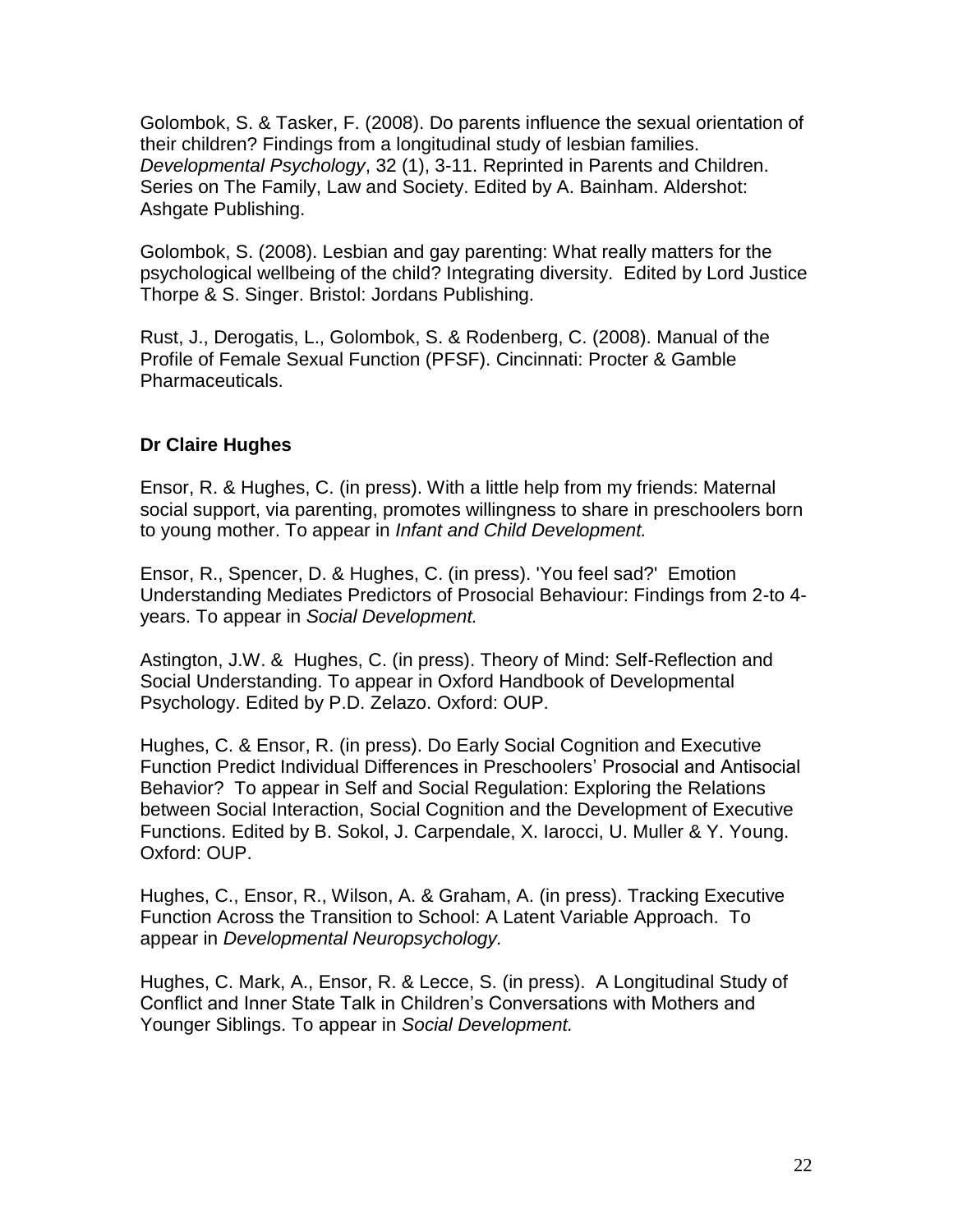Golombok, S. & Tasker, F. (2008). Do parents influence the sexual orientation of their children? Findings from a longitudinal study of lesbian families. *Developmental Psychology*, 32 (1), 3-11. Reprinted in Parents and Children. Series on The Family, Law and Society. Edited by A. Bainham. Aldershot: Ashgate Publishing.

Golombok, S. (2008). Lesbian and gay parenting: What really matters for the psychological wellbeing of the child? Integrating diversity. Edited by Lord Justice Thorpe & S. Singer. Bristol: Jordans Publishing.

Rust, J., Derogatis, L., Golombok, S. & Rodenberg, C. (2008). Manual of the Profile of Female Sexual Function (PFSF). Cincinnati: Procter & Gamble Pharmaceuticals.

### **Dr Claire Hughes**

Ensor, R. & Hughes, C. (in press). With a little help from my friends: Maternal social support, via parenting, promotes willingness to share in preschoolers born to young mother. To appear in *Infant and Child Development.*

Ensor, R., Spencer, D. & Hughes, C. (in press). 'You feel sad?' Emotion Understanding Mediates Predictors of Prosocial Behaviour: Findings from 2-to 4 years. To appear in *Social Development.*

Astington, J.W. & Hughes, C. (in press). Theory of Mind: Self-Reflection and Social Understanding. To appear in Oxford Handbook of Developmental Psychology. Edited by P.D. Zelazo. Oxford: OUP.

Hughes, C. & Ensor, R. (in press). Do Early Social Cognition and Executive Function Predict Individual Differences in Preschoolers' Prosocial and Antisocial Behavior? To appear in Self and Social Regulation: Exploring the Relations between Social Interaction, Social Cognition and the Development of Executive Functions. Edited by B. Sokol, J. Carpendale, X. Iarocci, U. Muller & Y. Young. Oxford: OUP.

Hughes, C., Ensor, R., Wilson, A. & Graham, A. (in press). Tracking Executive Function Across the Transition to School: A Latent Variable Approach. To appear in *Developmental Neuropsychology.*

Hughes, C. Mark, A., Ensor, R. & Lecce, S. (in press). A Longitudinal Study of Conflict and Inner State Talk in Children's Conversations with Mothers and Younger Siblings. To appear in *Social Development.*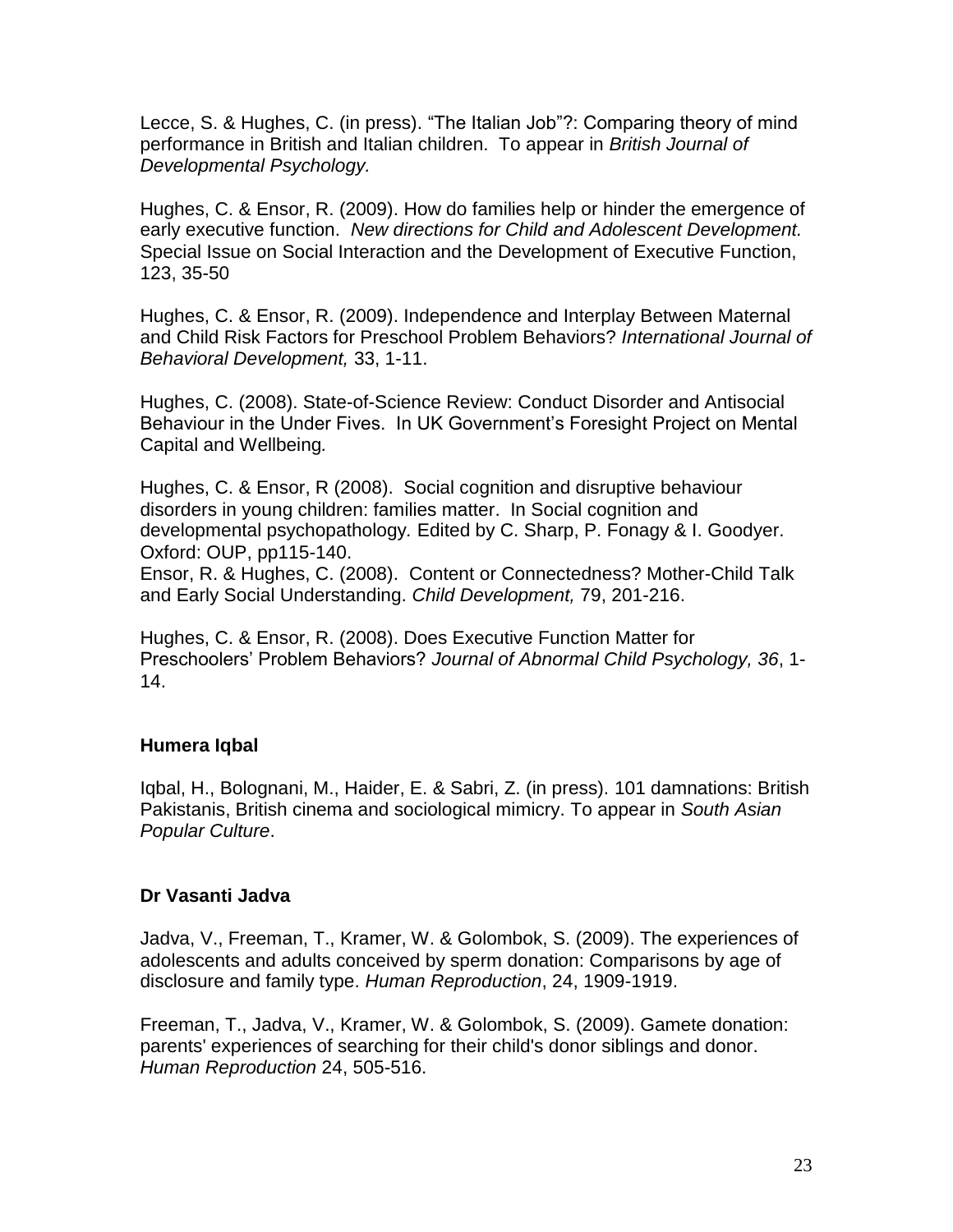Lecce, S. & Hughes, C. (in press). "The Italian Job"?: Comparing theory of mind performance in British and Italian children. To appear in *British Journal of Developmental Psychology.*

Hughes, C. & Ensor, R. (2009). How do families help or hinder the emergence of early executive function. *New directions for Child and Adolescent Development.* Special Issue on Social Interaction and the Development of Executive Function, 123, 35-50

Hughes, C. & Ensor, R. (2009). Independence and Interplay Between Maternal and Child Risk Factors for Preschool Problem Behaviors? *International Journal of Behavioral Development,* 33, 1-11.

Hughes, C. (2008). State-of-Science Review: Conduct Disorder and Antisocial Behaviour in the Under Fives. In UK Government's Foresight Project on Mental Capital and Wellbeing*.*

Hughes, C. & Ensor, R (2008). Social cognition and disruptive behaviour disorders in young children: families matter. In Social cognition and developmental psychopathology*.* Edited by C. Sharp, P. Fonagy & I. Goodyer. Oxford: OUP, pp115-140.

Ensor, R. & Hughes, C. (2008). Content or Connectedness? Mother-Child Talk and Early Social Understanding. *Child Development,* 79, 201-216.

Hughes, C. & Ensor, R. (2008). Does Executive Function Matter for Preschoolers' Problem Behaviors? *Journal of Abnormal Child Psychology, 36*, 1- 14.

#### **Humera Iqbal**

Iqbal, H., Bolognani, M., Haider, E. & Sabri, Z. (in press). 101 damnations: British Pakistanis, British cinema and sociological mimicry. To appear in *South Asian Popular Culture*.

#### **Dr Vasanti Jadva**

Jadva, V., Freeman, T., Kramer, W. & Golombok, S. (2009). The experiences of adolescents and adults conceived by sperm donation: Comparisons by age of disclosure and family type. *Human Reproduction*, 24, 1909-1919.

Freeman, T., Jadva, V., Kramer, W. & Golombok, S. (2009). Gamete donation: parents' experiences of searching for their child's donor siblings and donor. *Human Reproduction* 24, 505-516.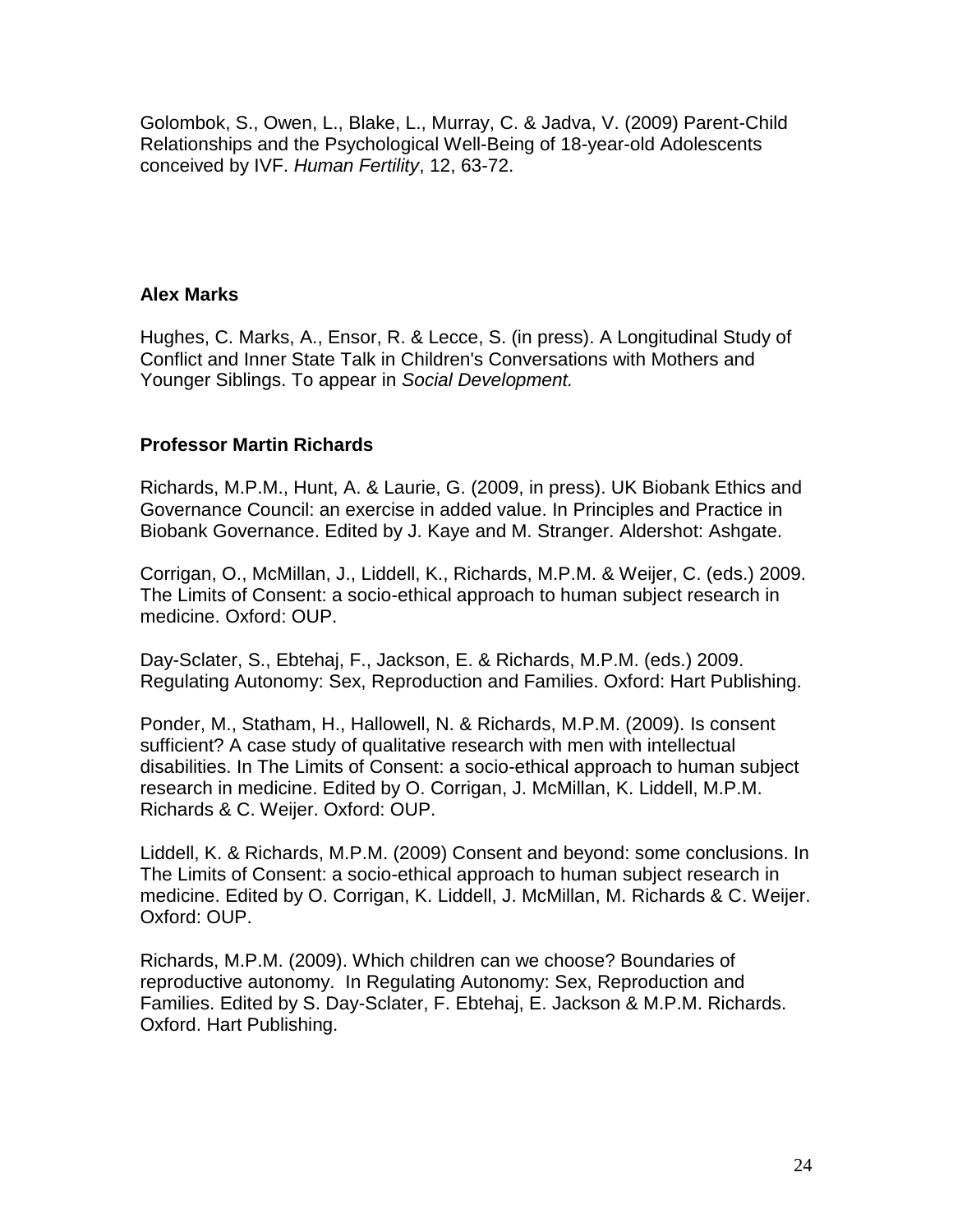Golombok, S., Owen, L., Blake, L., Murray, C. & Jadva, V. (2009) Parent-Child Relationships and the Psychological Well-Being of 18-year-old Adolescents conceived by IVF. *Human Fertility*, 12, 63-72.

#### **Alex Marks**

Hughes, C. Marks, A., Ensor, R. & Lecce, S. (in press). A Longitudinal Study of Conflict and Inner State Talk in Children's Conversations with Mothers and Younger Siblings. To appear in *Social Development.*

### **Professor Martin Richards**

Richards, M.P.M., Hunt, A. & Laurie, G. (2009, in press). UK Biobank Ethics and Governance Council: an exercise in added value. In Principles and Practice in Biobank Governance. Edited by J. Kaye and M. Stranger. Aldershot: Ashgate.

Corrigan, O., McMillan, J., Liddell, K., Richards, M.P.M. & Weijer, C. (eds.) 2009. The Limits of Consent: a socio-ethical approach to human subject research in medicine. Oxford: OUP.

Day-Sclater, S., Ebtehaj, F., Jackson, E. & Richards, M.P.M. (eds.) 2009. Regulating Autonomy: Sex, Reproduction and Families. Oxford: Hart Publishing.

Ponder, M., Statham, H., Hallowell, N. & Richards, M.P.M. (2009). Is consent sufficient? A case study of qualitative research with men with intellectual disabilities. In The Limits of Consent: a socio-ethical approach to human subject research in medicine. Edited by O. Corrigan, J. McMillan, K. Liddell, M.P.M. Richards & C. Weijer. Oxford: OUP.

Liddell, K. & Richards, M.P.M. (2009) Consent and beyond: some conclusions. In The Limits of Consent: a socio-ethical approach to human subject research in medicine. Edited by O. Corrigan, K. Liddell, J. McMillan, M. Richards & C. Weijer. Oxford: OUP.

Richards, M.P.M. (2009). Which children can we choose? Boundaries of reproductive autonomy. In Regulating Autonomy: Sex, Reproduction and Families. Edited by S. Day-Sclater, F. Ebtehaj, E. Jackson & M.P.M. Richards. Oxford. Hart Publishing.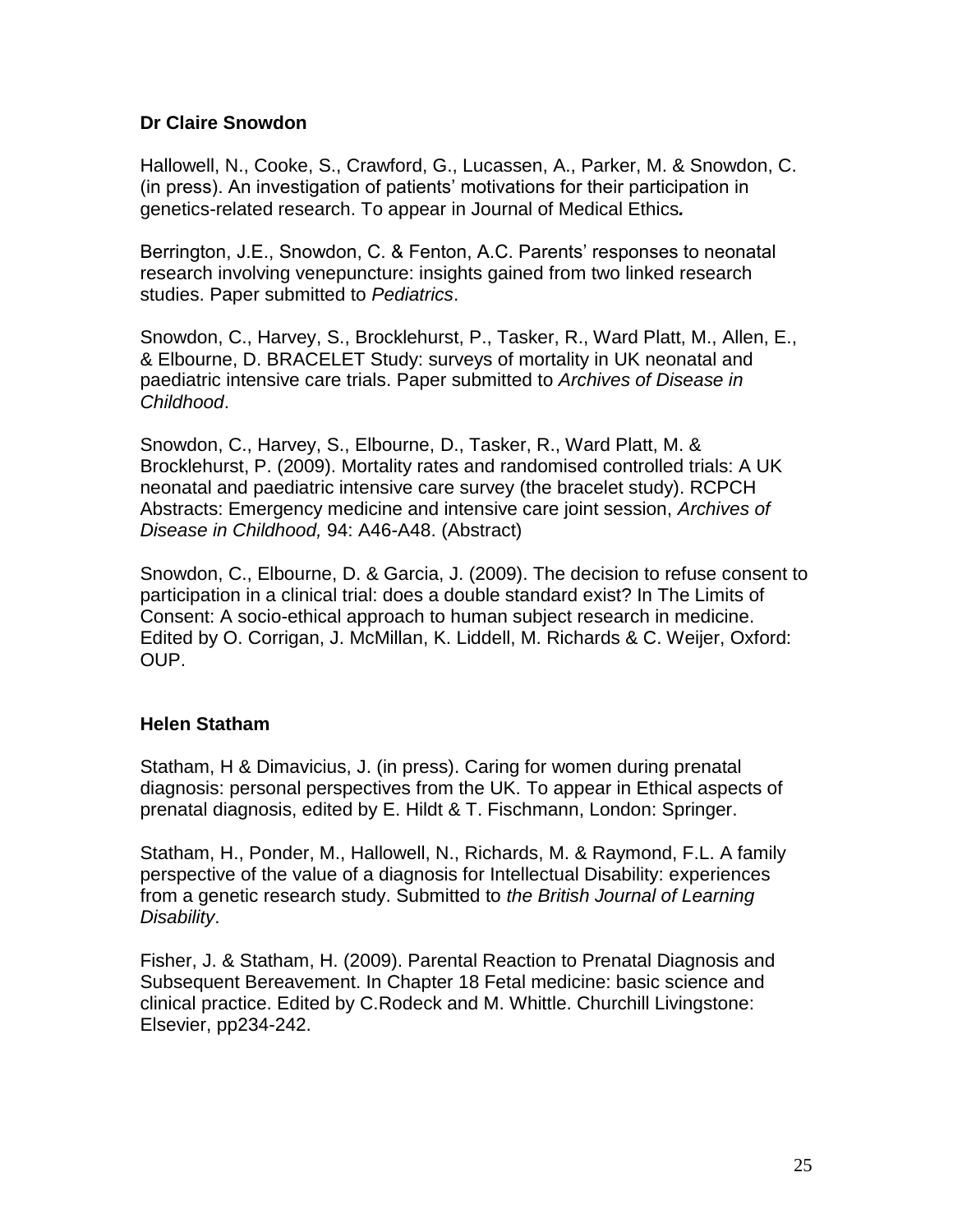### **Dr Claire Snowdon**

Hallowell, N., Cooke, S., Crawford, G., Lucassen, A., Parker, M. & Snowdon, C. (in press). An investigation of patients' motivations for their participation in genetics-related research. To appear in Journal of Medical Ethics*.*

Berrington, J.E., Snowdon, C. & Fenton, A.C. Parents' responses to neonatal research involving venepuncture: insights gained from two linked research studies. Paper submitted to *Pediatrics*.

Snowdon, C., Harvey, S., Brocklehurst, P., Tasker, R., Ward Platt, M., Allen, E., & Elbourne, D. BRACELET Study: surveys of mortality in UK neonatal and paediatric intensive care trials. Paper submitted to *Archives of Disease in Childhood*.

Snowdon, C., Harvey, S., Elbourne, D., Tasker, R., Ward Platt, M. & Brocklehurst, P. (2009). Mortality rates and randomised controlled trials: A UK neonatal and paediatric intensive care survey (the bracelet study). RCPCH Abstracts: Emergency medicine and intensive care joint session, *Archives of Disease in Childhood,* 94: A46-A48. (Abstract)

Snowdon, C., Elbourne, D. & Garcia, J. (2009). The decision to refuse consent to participation in a clinical trial: does a double standard exist? In The Limits of Consent: A socio-ethical approach to human subject research in medicine. Edited by O. Corrigan, J. McMillan, K. Liddell, M. Richards & C. Weijer, Oxford: OUP.

### **Helen Statham**

Statham, H & Dimavicius, J. (in press). Caring for women during prenatal diagnosis: personal perspectives from the UK. To appear in Ethical aspects of prenatal diagnosis, edited by E. Hildt & T. Fischmann, London: Springer.

Statham, H., Ponder, M., Hallowell, N., Richards, M. & Raymond, F.L. A family perspective of the value of a diagnosis for Intellectual Disability: experiences from a genetic research study. Submitted to *the British Journal of Learning Disability*.

Fisher, J. & Statham, H. (2009). Parental Reaction to Prenatal Diagnosis and Subsequent Bereavement. In Chapter 18 Fetal medicine: basic science and clinical practice. Edited by C.Rodeck and M. Whittle. Churchill Livingstone: Elsevier, pp234-242.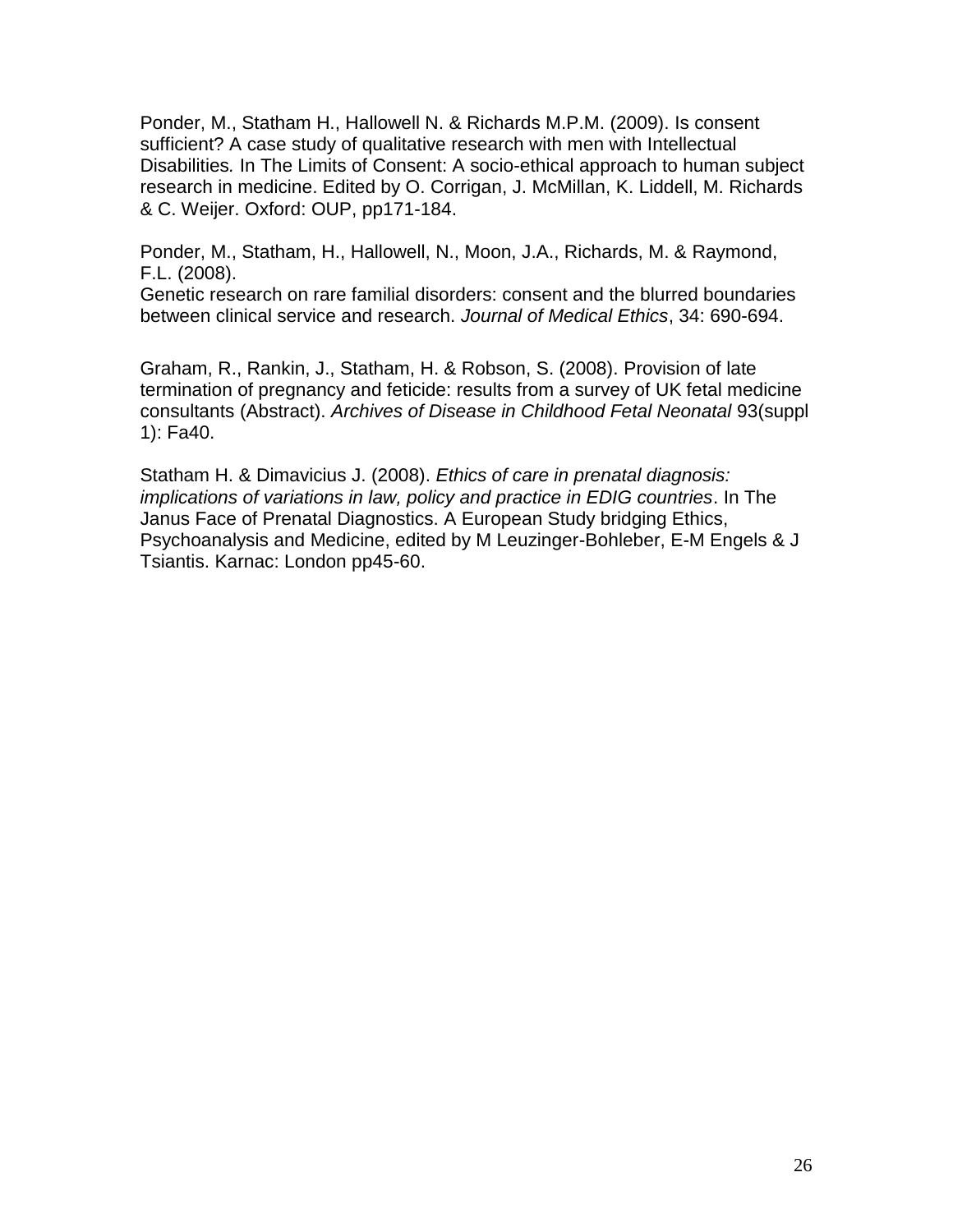Ponder, M., Statham H., Hallowell N. & Richards M.P.M. (2009). Is consent sufficient? A case study of qualitative research with men with Intellectual Disabilities*.* In The Limits of Consent: A socio-ethical approach to human subject research in medicine. Edited by O. Corrigan, J. McMillan, K. Liddell, M. Richards & C. Weijer. Oxford: OUP, pp171-184.

Ponder, M., Statham, H., Hallowell, N., Moon, J.A., Richards, M. & Raymond, F.L. (2008).

Genetic research on rare familial disorders: consent and the blurred boundaries between clinical service and research. *Journal of Medical Ethics*, 34: 690-694.

Graham, R., Rankin, J., Statham, H. & Robson, S. (2008). Provision of late termination of pregnancy and feticide: results from a survey of UK fetal medicine consultants (Abstract). *Archives of Disease in Childhood Fetal Neonatal* 93(suppl 1): Fa40.

Statham H. & Dimavicius J. (2008). *Ethics of care in prenatal diagnosis: implications of variations in law, policy and practice in EDIG countries*. In The Janus Face of Prenatal Diagnostics. A European Study bridging Ethics, Psychoanalysis and Medicine, edited by M Leuzinger-Bohleber, E-M Engels & J Tsiantis. Karnac: London pp45-60.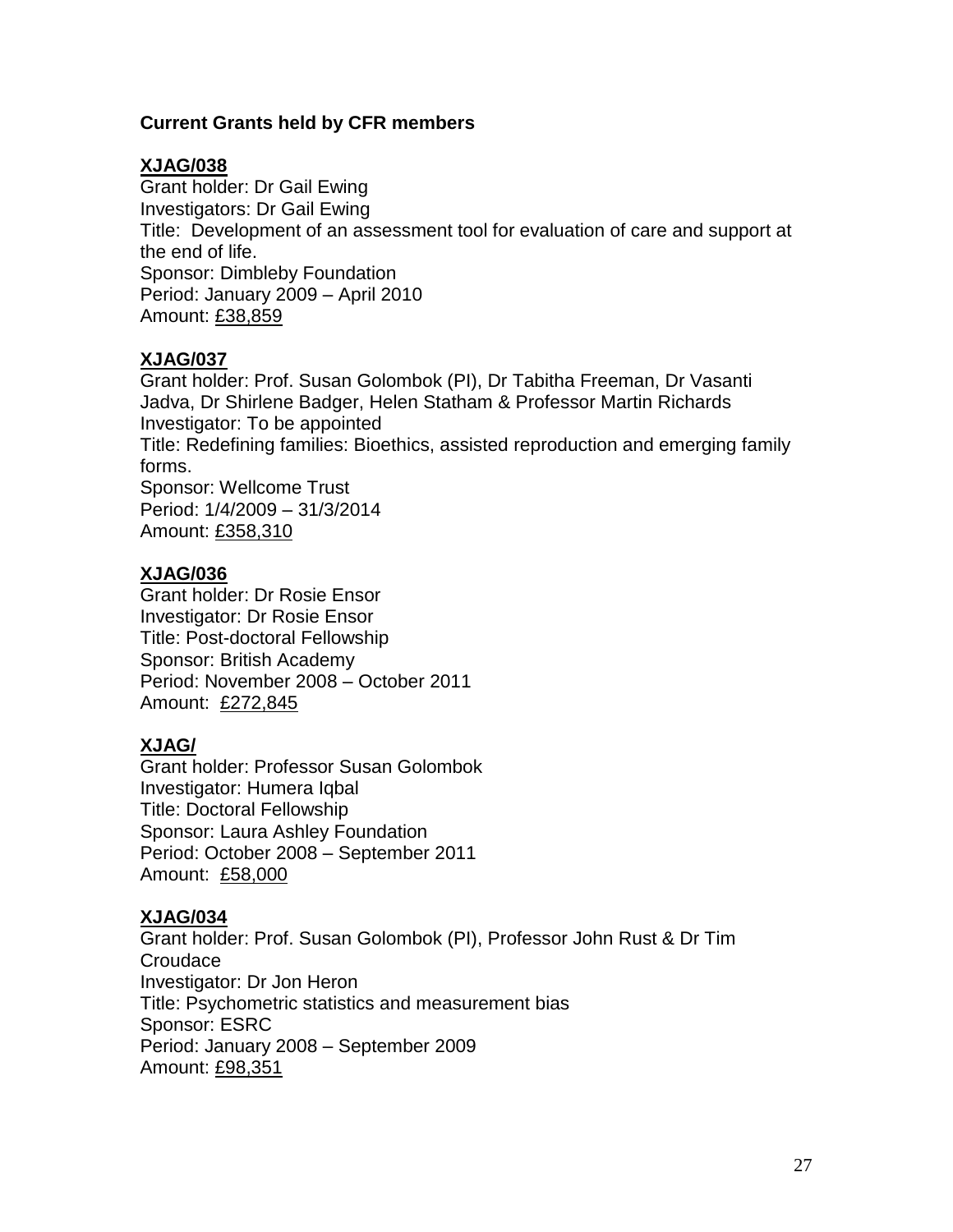### **Current Grants held by CFR members**

### **XJAG/038**

Grant holder: Dr Gail Ewing Investigators: Dr Gail Ewing Title: Development of an assessment tool for evaluation of care and support at the end of life. Sponsor: Dimbleby Foundation Period: January 2009 – April 2010 Amount: £38,859

## **XJAG/037**

Grant holder: Prof. Susan Golombok (PI), Dr Tabitha Freeman, Dr Vasanti Jadva, Dr Shirlene Badger, Helen Statham & Professor Martin Richards Investigator: To be appointed Title: Redefining families: Bioethics, assisted reproduction and emerging family forms. Sponsor: Wellcome Trust Period: 1/4/2009 – 31/3/2014 Amount: £358,310

## **XJAG/036**

Grant holder: Dr Rosie Ensor Investigator: Dr Rosie Ensor Title: Post-doctoral Fellowship Sponsor: British Academy Period: November 2008 – October 2011 Amount: £272,845

# **XJAG/**

Grant holder: Professor Susan Golombok Investigator: Humera Iqbal Title: Doctoral Fellowship Sponsor: Laura Ashley Foundation Period: October 2008 – September 2011 Amount: £58,000

# **XJAG/034**

Grant holder: Prof. Susan Golombok (PI), Professor John Rust & Dr Tim Croudace Investigator: Dr Jon Heron Title: Psychometric statistics and measurement bias Sponsor: ESRC Period: January 2008 – September 2009 Amount: £98,351